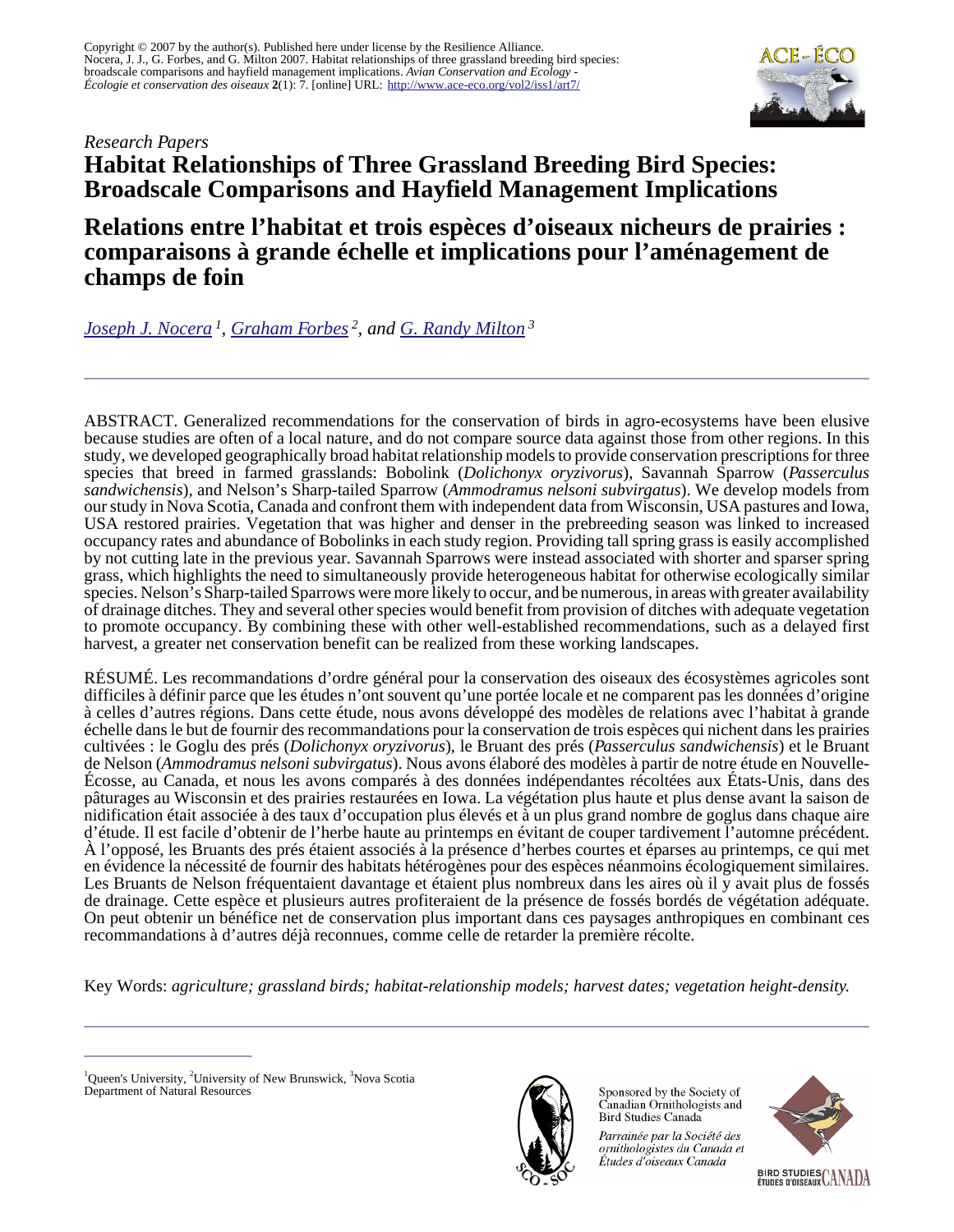

# *Research Papers* **Habitat Relationships of Three Grassland Breeding Bird Species: Broadscale Comparisons and Hayfield Management Implications**

**Relations entre l'habitat et trois espèces d'oiseaux nicheurs de prairies : comparaisons à grande échelle et implications pour l'aménagement de champs de foin**

*[Joseph J. Nocera](mailto:nocerajj@biology.queensu.ca)<sup>1</sup> , [Graham Forbes](mailto:forbes@unb.ca)<sup>2</sup>, and [G. Randy Milton](mailto:miltongr@gov.ns.ca)<sup>3</sup>*

ABSTRACT. Generalized recommendations for the conservation of birds in agro-ecosystems have been elusive because studies are often of a local nature, and do not compare source data against those from other regions. In this study, we developed geographically broad habitat relationship models to provide conservation prescriptions for three species that breed in farmed grasslands: Bobolink (*Dolichonyx oryzivorus*), Savannah Sparrow (*Passerculus sandwichensis*), and Nelson's Sharp-tailed Sparrow (*Ammodramus nelsoni subvirgatus*). We develop models from our study in Nova Scotia, Canada and confront them with independent data from Wisconsin, USA pastures and Iowa, USA restored prairies. Vegetation that was higher and denser in the prebreeding season was linked to increased occupancy rates and abundance of Bobolinks in each study region. Providing tall spring grass is easily accomplished by not cutting late in the previous year. Savannah Sparrows were instead associated with shorter and sparser spring grass, which highlights the need to simultaneously provide heterogeneous habitat for otherwise ecologically similar species. Nelson's Sharp-tailed Sparrows were more likely to occur, and be numerous, in areas with greater availability of drainage ditches. They and several other species would benefit from provision of ditches with adequate vegetation to promote occupancy. By combining these with other well-established recommendations, such as a delayed first harvest, a greater net conservation benefit can be realized from these working landscapes.

RÉSUMÉ. Les recommandations d'ordre général pour la conservation des oiseaux des écosystèmes agricoles sont difficiles à définir parce que les études n'ont souvent qu'une portée locale et ne comparent pas les données d'origine à celles d'autres régions. Dans cette étude, nous avons développé des modèles de relations avec l'habitat à grande échelle dans le but de fournir des recommandations pour la conservation de trois espèces qui nichent dans les prairies cultivées : le Goglu des prés (*Dolichonyx oryzivorus*), le Bruant des prés (*Passerculus sandwichensis*) et le Bruant de Nelson (*Ammodramus nelsoni subvirgatus*). Nous avons élaboré des modèles à partir de notre étude en Nouvelle-Écosse, au Canada, et nous les avons comparés à des données indépendantes récoltées aux États-Unis, dans des pâturages au Wisconsin et des prairies restaurées en Iowa. La végétation plus haute et plus dense avant la saison de nidification était associée à des taux d'occupation plus élevés et à un plus grand nombre de goglus dans chaque aire d'étude. Il est facile d'obtenir de l'herbe haute au printemps en évitant de couper tardivement l'automne précédent. À l'opposé, les Bruants des prés étaient associés à la présence d'herbes courtes et éparses au printemps, ce qui met en évidence la nécessité de fournir des habitats hétérogènes pour des espèces néanmoins écologiquement similaires. Les Bruants de Nelson fréquentaient davantage et étaient plus nombreux dans les aires où il y avait plus de fossés de drainage. Cette espèce et plusieurs autres profiteraient de la présence de fossés bordés de végétation adéquate. On peut obtenir un bénéfice net de conservation plus important dans ces paysages anthropiques en combinant ces recommandations à d'autres déjà reconnues, comme celle de retarder la première récolte.

Key Words: *agriculture; grassland birds; habitat-relationship models; harvest dates; vegetation height-density.*



Sponsored by the Society of Canadian Ornithologists and Bird Studies Canada

Parrainée par la Société des ornithologistes du Canada et Études d'oiseaux Canada



<sup>&</sup>lt;sup>1</sup>Queen's University, <sup>2</sup>University of New Brunswick, <sup>3</sup>Nova Scotia Department of Natural Resources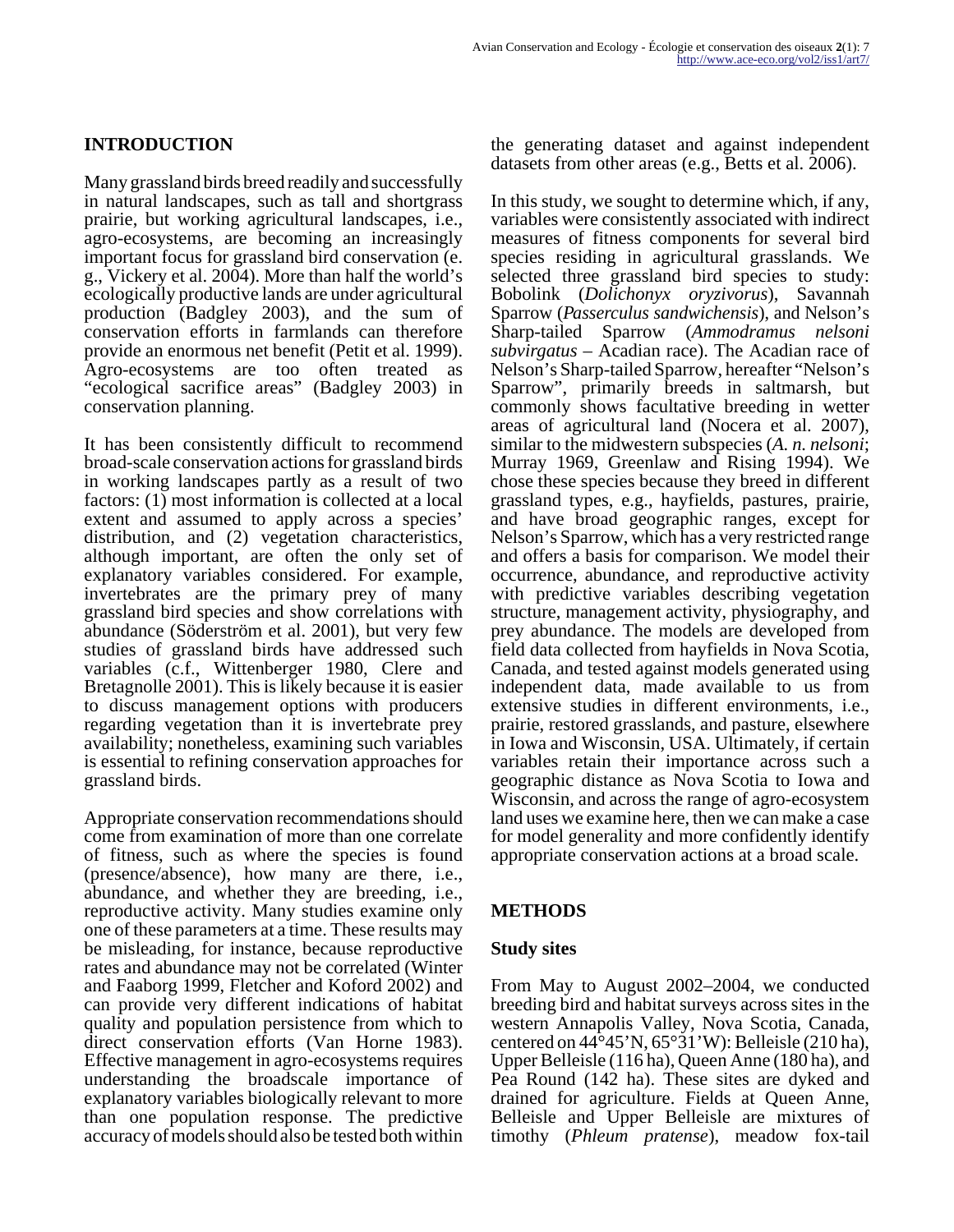### **INTRODUCTION**

Many grassland birds breed readily and successfully in natural landscapes, such as tall and shortgrass prairie, but working agricultural landscapes, i.e., agro-ecosystems, are becoming an increasingly important focus for grassland bird conservation (e. g., Vickery et al. 2004). More than half the world's ecologically productive lands are under agricultural production (Badgley 2003), and the sum of conservation efforts in farmlands can therefore provide an enormous net benefit (Petit et al. 1999). Agro-ecosystems are too often treated as "ecological sacrifice areas" (Badgley 2003) in conservation planning.

It has been consistently difficult to recommend broad-scale conservation actions for grassland birds in working landscapes partly as a result of two factors: (1) most information is collected at a local extent and assumed to apply across a species' distribution, and (2) vegetation characteristics, although important, are often the only set of explanatory variables considered. For example, invertebrates are the primary prey of many grassland bird species and show correlations with abundance (Söderström et al. 2001), but very few studies of grassland birds have addressed such variables (c.f., Wittenberger 1980, Clere and Bretagnolle 2001). This is likely because it is easier to discuss management options with producers regarding vegetation than it is invertebrate prey availability; nonetheless, examining such variables is essential to refining conservation approaches for grassland birds.

Appropriate conservation recommendations should come from examination of more than one correlate of fitness, such as where the species is found (presence/absence), how many are there, i.e., abundance, and whether they are breeding, i.e., reproductive activity. Many studies examine only one of these parameters at a time. These results may be misleading, for instance, because reproductive rates and abundance may not be correlated (Winter and Faaborg 1999, Fletcher and Koford 2002) and can provide very different indications of habitat quality and population persistence from which to direct conservation efforts (Van Horne 1983). Effective management in agro-ecosystems requires understanding the broadscale importance of explanatory variables biologically relevant to more than one population response. The predictive accuracy of models should also be tested both within

the generating dataset and against independent datasets from other areas (e.g., Betts et al. 2006).

In this study, we sought to determine which, if any, variables were consistently associated with indirect measures of fitness components for several bird species residing in agricultural grasslands. We selected three grassland bird species to study: Bobolink (*Dolichonyx oryzivorus*), Savannah Sparrow (*Passerculus sandwichensis*), and Nelson's Sharp-tailed Sparrow (*Ammodramus nelsoni subvirgatus –* Acadian race). The Acadian race of Nelson's Sharp-tailed Sparrow, hereafter "Nelson's Sparrow", primarily breeds in saltmarsh, but commonly shows facultative breeding in wetter areas of agricultural land (Nocera et al. 2007), similar to the midwestern subspecies (*A. n. nelsoni*; Murray 1969, Greenlaw and Rising 1994). We chose these species because they breed in different grassland types, e.g., hayfields, pastures, prairie, and have broad geographic ranges, except for Nelson's Sparrow, which has a very restricted range and offers a basis for comparison. We model their occurrence, abundance, and reproductive activity with predictive variables describing vegetation structure, management activity, physiography, and prey abundance. The models are developed from field data collected from hayfields in Nova Scotia, Canada, and tested against models generated using independent data, made available to us from extensive studies in different environments, i.e., prairie, restored grasslands, and pasture, elsewhere in Iowa and Wisconsin, USA. Ultimately, if certain variables retain their importance across such a geographic distance as Nova Scotia to Iowa and Wisconsin, and across the range of agro-ecosystem land uses we examine here, then we can make a case for model generality and more confidently identify appropriate conservation actions at a broad scale.

### **METHODS**

#### **Study sites**

From May to August 2002–2004, we conducted breeding bird and habitat surveys across sites in the western Annapolis Valley, Nova Scotia, Canada, centered on 44°45'N, 65°31'W): Belleisle (210 ha), Upper Belleisle (116 ha), Queen Anne (180 ha), and Pea Round (142 ha). These sites are dyked and drained for agriculture. Fields at Queen Anne, Belleisle and Upper Belleisle are mixtures of timothy (*Phleum pratense*), meadow fox-tail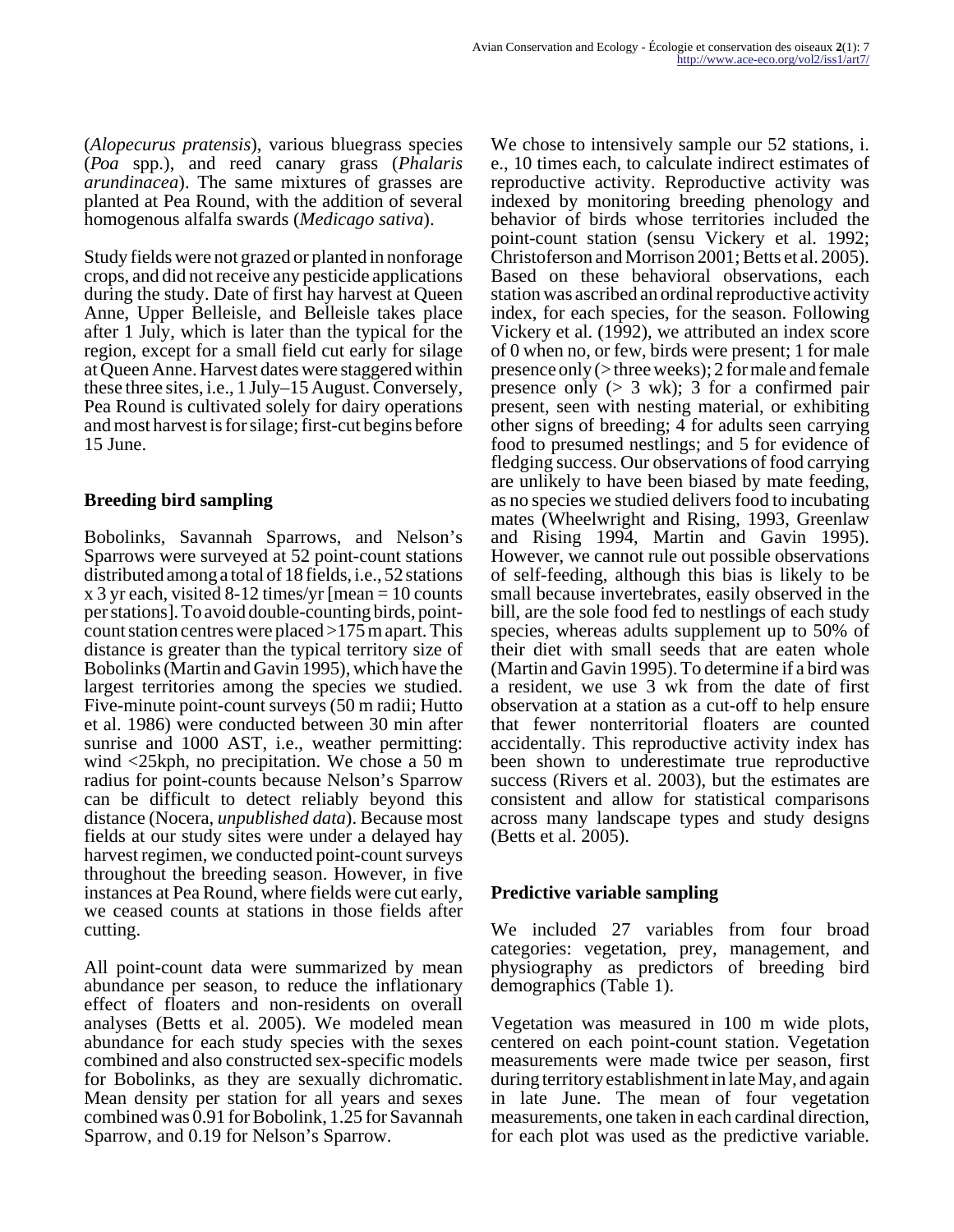(*Alopecurus pratensis*), various bluegrass species (*Poa* spp.), and reed canary grass (*Phalaris arundinacea*). The same mixtures of grasses are planted at Pea Round, with the addition of several homogenous alfalfa swards (*Medicago sativa*).

Study fields were not grazed or planted in nonforage crops, and did not receive any pesticide applications during the study. Date of first hay harvest at Queen Anne, Upper Belleisle, and Belleisle takes place after 1 July, which is later than the typical for the region, except for a small field cut early for silage at Queen Anne. Harvest dates were staggered within these three sites, i.e., 1 July–15 August. Conversely, Pea Round is cultivated solely for dairy operations and most harvest is for silage; first-cut begins before 15 June.

### **Breeding bird sampling**

Bobolinks, Savannah Sparrows, and Nelson's Sparrows were surveyed at 52 point-count stations distributed among a total of 18 fields, i.e., 52 stations x 3 yr each, visited 8-12 times/yr  $[mean = 10$  counts per stations]. To avoid double-counting birds, pointcount station centres were placed >175 m apart. This distance is greater than the typical territory size of Bobolinks (Martin and Gavin 1995), which have the largest territories among the species we studied. Five-minute point-count surveys (50 m radii; Hutto et al. 1986) were conducted between 30 min after sunrise and 1000 AST, i.e., weather permitting: wind <25kph, no precipitation. We chose a 50 m radius for point-counts because Nelson's Sparrow can be difficult to detect reliably beyond this distance (Nocera, *unpublished data*). Because most fields at our study sites were under a delayed hay harvest regimen, we conducted point-count surveys throughout the breeding season. However, in five instances at Pea Round, where fields were cut early, we ceased counts at stations in those fields after cutting.

All point-count data were summarized by mean abundance per season, to reduce the inflationary effect of floaters and non-residents on overall analyses (Betts et al. 2005). We modeled mean abundance for each study species with the sexes combined and also constructed sex-specific models for Bobolinks, as they are sexually dichromatic. Mean density per station for all years and sexes combined was 0.91 for Bobolink, 1.25 for Savannah Sparrow, and 0.19 for Nelson's Sparrow.

We chose to intensively sample our 52 stations, i. e., 10 times each, to calculate indirect estimates of reproductive activity. Reproductive activity was indexed by monitoring breeding phenology and behavior of birds whose territories included the point-count station (sensu Vickery et al. 1992; Christoferson and Morrison 2001; Betts et al. 2005). Based on these behavioral observations, each station was ascribed an ordinal reproductive activity index, for each species, for the season. Following Vickery et al. (1992), we attributed an index score of 0 when no, or few, birds were present; 1 for male presence only (> three weeks); 2 for male and female presence only  $(> 3 \text{ wk})$ ; 3 for a confirmed pair present, seen with nesting material, or exhibiting other signs of breeding; 4 for adults seen carrying food to presumed nestlings; and 5 for evidence of fledging success. Our observations of food carrying are unlikely to have been biased by mate feeding, as no species we studied delivers food to incubating mates (Wheelwright and Rising, 1993, Greenlaw and Rising 1994, Martin and Gavin 1995). However, we cannot rule out possible observations of self-feeding, although this bias is likely to be small because invertebrates, easily observed in the bill, are the sole food fed to nestlings of each study species, whereas adults supplement up to 50% of their diet with small seeds that are eaten whole (Martin and Gavin 1995). To determine if a bird was a resident, we use 3 wk from the date of first observation at a station as a cut-off to help ensure that fewer nonterritorial floaters are counted accidentally. This reproductive activity index has been shown to underestimate true reproductive success (Rivers et al. 2003), but the estimates are consistent and allow for statistical comparisons across many landscape types and study designs (Betts et al. 2005).

# **Predictive variable sampling**

We included 27 variables from four broad categories: vegetation, prey, management, and physiography as predictors of breeding bird demographics (Table 1).

Vegetation was measured in 100 m wide plots, centered on each point-count station. Vegetation measurements were made twice per season, first during territory establishment in late May, and again in late June. The mean of four vegetation measurements, one taken in each cardinal direction, for each plot was used as the predictive variable.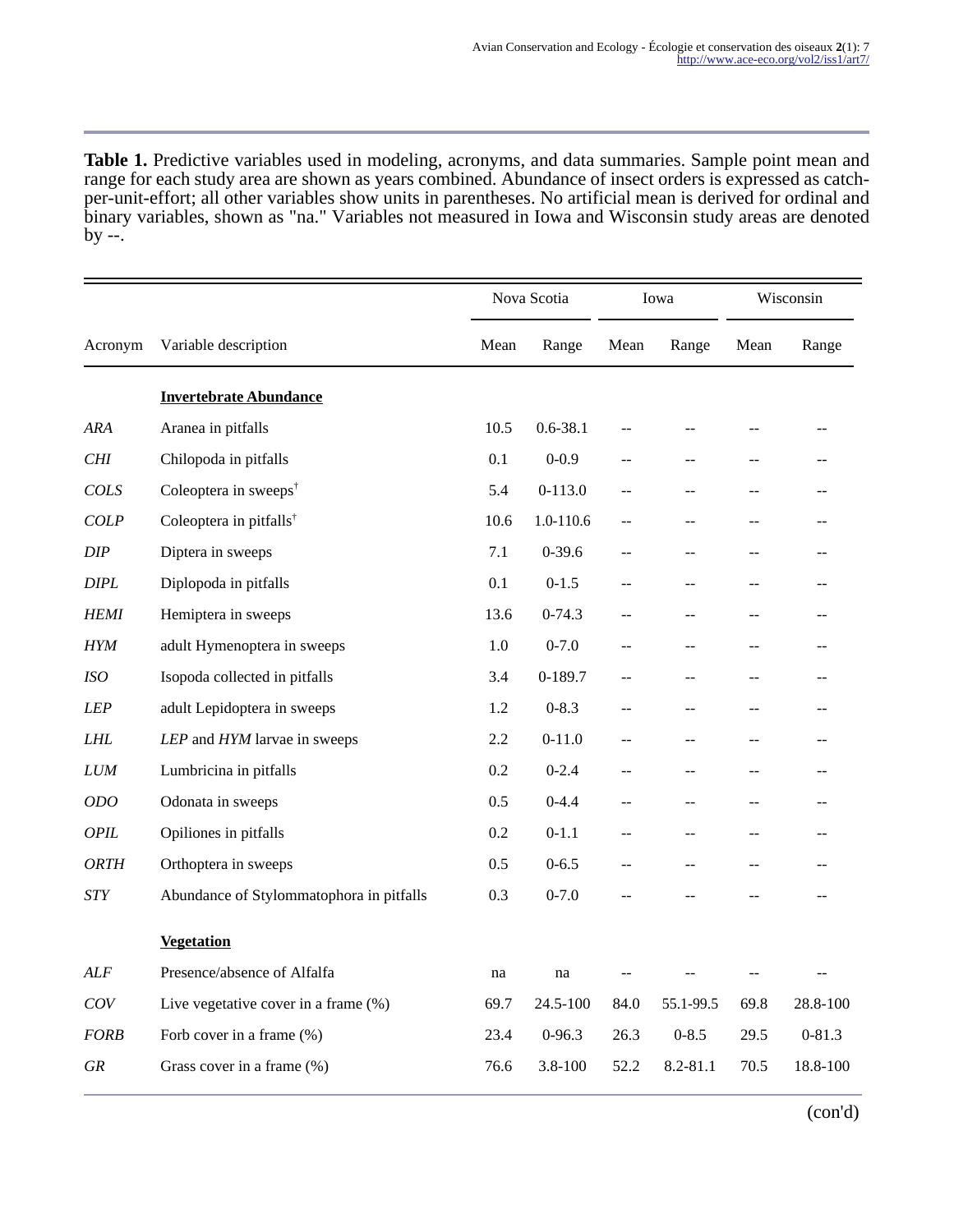**Table 1.** Predictive variables used in modeling, acronyms, and data summaries. Sample point mean and range for each study area are shown as years combined. Abundance of insect orders is expressed as catchper-unit-effort; all other variables show units in parentheses. No artificial mean is derived for ordinal and binary variables, shown as "na." Variables not measured in Iowa and Wisconsin study areas are denoted by --.

|             |                                                      |      | Nova Scotia  |      | Iowa         |                | Wisconsin  |  |
|-------------|------------------------------------------------------|------|--------------|------|--------------|----------------|------------|--|
| Acronym     | Variable description                                 | Mean | Range        | Mean | Range        | Mean           | Range      |  |
|             | <b>Invertebrate Abundance</b>                        |      |              |      |              |                |            |  |
| <b>ARA</b>  | Aranea in pitfalls                                   | 10.5 | $0.6 - 38.1$ |      |              |                |            |  |
| <b>CHI</b>  | Chilopoda in pitfalls                                | 0.1  | $0 - 0.9$    |      |              |                |            |  |
| <b>COLS</b> | Coleoptera in sweeps <sup><math>\dagger</math></sup> | 5.4  | $0-113.0$    |      |              | $-$            |            |  |
| <b>COLP</b> | Coleoptera in pitfalls <sup>†</sup>                  | 10.6 | 1.0-110.6    |      |              |                |            |  |
| DIP         | Diptera in sweeps                                    | 7.1  | $0-39.6$     | $-$  | $\sim$       | $\overline{a}$ |            |  |
| <b>DIPL</b> | Diplopoda in pitfalls                                | 0.1  | $0 - 1.5$    | --   | --           | --             |            |  |
| <b>HEMI</b> | Hemiptera in sweeps                                  | 13.6 | $0-74.3$     |      |              | --             |            |  |
| <b>HYM</b>  | adult Hymenoptera in sweeps                          | 1.0  | $0 - 7.0$    |      | $-$          | $-$            |            |  |
| <i>ISO</i>  | Isopoda collected in pitfalls                        | 3.4  | $0-189.7$    |      |              |                |            |  |
| LEP         | adult Lepidoptera in sweeps                          | 1.2  | $0 - 8.3$    | $=$  | $\sim$       | $\overline{a}$ |            |  |
| <b>LHL</b>  | LEP and HYM larvae in sweeps                         | 2.2  | $0 - 11.0$   |      |              |                |            |  |
| LUM         | Lumbricina in pitfalls                               | 0.2  | $0 - 2.4$    | $-$  | $-$          | $-$            |            |  |
| ODO         | Odonata in sweeps                                    | 0.5  | $0 - 4.4$    | --   | --           | --             |            |  |
| OPIL        | Opiliones in pitfalls                                | 0.2  | $0 - 1.1$    |      |              |                |            |  |
| ORTH        | Orthoptera in sweeps                                 | 0.5  | $0 - 6.5$    |      | $-$          | $\overline{a}$ |            |  |
| <b>STY</b>  | Abundance of Stylommatophora in pitfalls             | 0.3  | $0 - 7.0$    |      |              |                |            |  |
|             | <b>Vegetation</b>                                    |      |              |      |              |                |            |  |
| ALF         | Presence/absence of Alfalfa                          | na   | na           |      |              |                |            |  |
| COV         | Live vegetative cover in a frame (%)                 | 69.7 | 24.5-100     | 84.0 | 55.1-99.5    | 69.8           | 28.8-100   |  |
| <b>FORB</b> | Forb cover in a frame (%)                            | 23.4 | $0-96.3$     | 26.3 | $0 - 8.5$    | 29.5           | $0 - 81.3$ |  |
| <b>GR</b>   | Grass cover in a frame (%)                           | 76.6 | $3.8 - 100$  | 52.2 | $8.2 - 81.1$ | 70.5           | 18.8-100   |  |
|             |                                                      |      |              |      |              |                |            |  |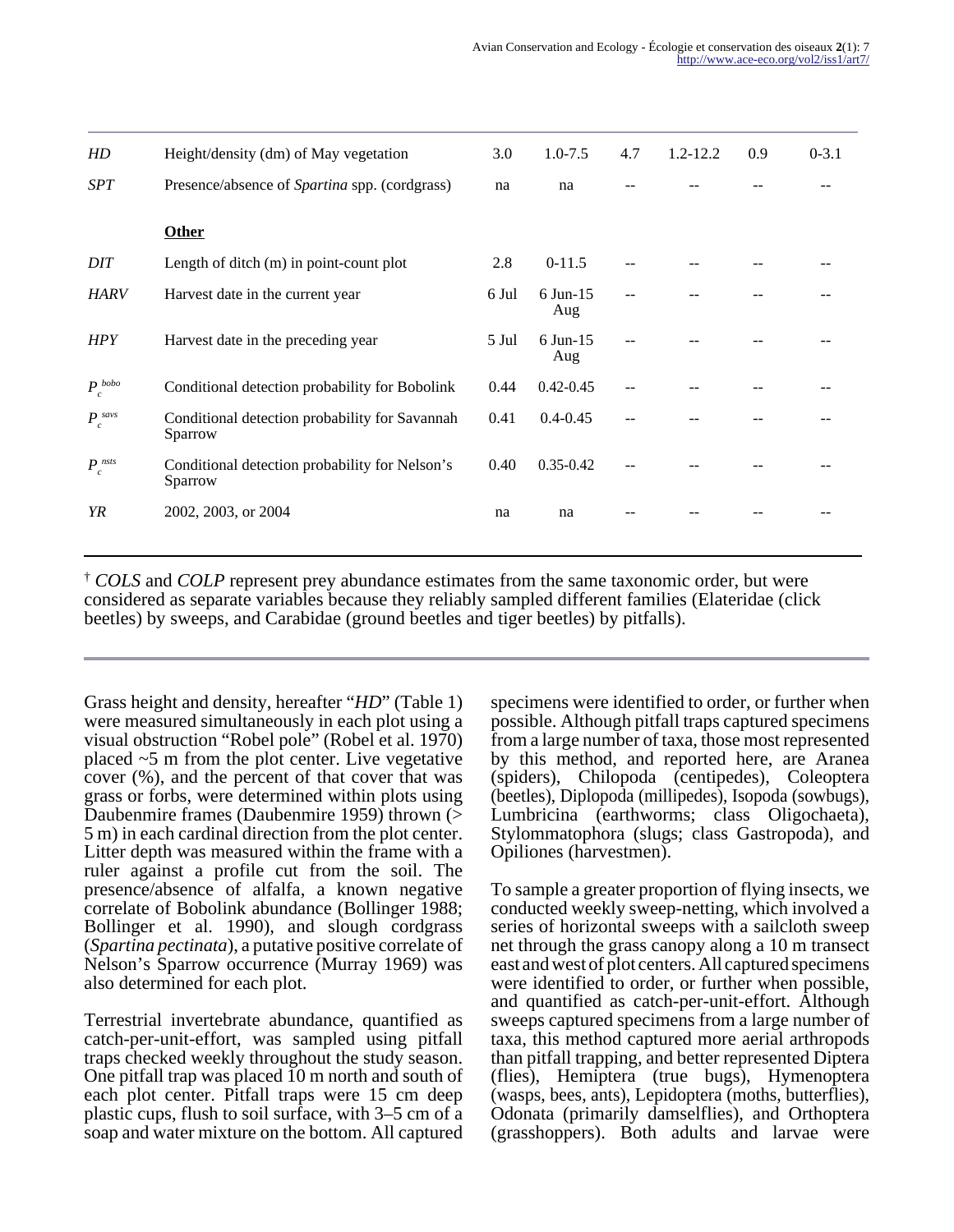| Height/density (dm) of May vegetation                     | 3.0   | $1.0 - 7.5$       | 4.7 | $1.2 - 12.2$ | 0.9 | $0 - 3.1$ |
|-----------------------------------------------------------|-------|-------------------|-----|--------------|-----|-----------|
| Presence/absence of Spartina spp. (cordgrass)             | na    | na                |     |              |     |           |
| <b>Other</b>                                              |       |                   |     |              |     |           |
| Length of ditch (m) in point-count plot                   | 2.8   | $0-11.5$          |     |              |     |           |
| Harvest date in the current year                          | 6 Jul | $6$ Jun-15<br>Aug |     |              |     |           |
| Harvest date in the preceding year                        | 5 Jul | $6$ Jun-15<br>Aug | --  |              |     |           |
| Conditional detection probability for Bobolink            | 0.44  | $0.42 - 0.45$     |     |              |     |           |
| Conditional detection probability for Savannah<br>Sparrow | 0.41  | $0.4 - 0.45$      |     |              |     |           |
| Conditional detection probability for Nelson's<br>Sparrow | 0.40  | $0.35 - 0.42$     |     |              |     |           |
| 2002, 2003, or 2004                                       | na    | na                |     |              |     |           |
|                                                           |       |                   |     |              |     |           |

<sup>†</sup> COLS and COLP represent prey abundance estimates from the same taxonomic order, but were considered as separate variables because they reliably sampled different families (Elateridae (click beetles) by sweeps, and Carabidae (ground beetles and tiger beetles) by pitfalls).

Grass height and density, hereafter "*HD*" (Table 1) were measured simultaneously in each plot using a visual obstruction "Robel pole" (Robel et al. 1970) placed ~5 m from the plot center. Live vegetative cover (%), and the percent of that cover that was grass or forbs, were determined within plots using Daubenmire frames (Daubenmire 1959) thrown (> 5 m) in each cardinal direction from the plot center. Litter depth was measured within the frame with a ruler against a profile cut from the soil. The presence/absence of alfalfa, a known negative correlate of Bobolink abundance (Bollinger 1988; Bollinger et al. 1990), and slough cordgrass (*Spartina pectinata*), a putative positive correlate of Nelson's Sparrow occurrence (Murray 1969) was also determined for each plot.

Terrestrial invertebrate abundance, quantified as catch-per-unit-effort, was sampled using pitfall traps checked weekly throughout the study season. One pitfall trap was placed 10 m north and south of each plot center. Pitfall traps were 15 cm deep plastic cups, flush to soil surface, with 3–5 cm of a soap and water mixture on the bottom. All captured

specimens were identified to order, or further when possible. Although pitfall traps captured specimens from a large number of taxa, those most represented by this method, and reported here, are Aranea (spiders), Chilopoda (centipedes), Coleoptera (beetles), Diplopoda (millipedes), Isopoda (sowbugs), Lumbricina (earthworms; class Oligochaeta), Stylommatophora (slugs; class Gastropoda), and Opiliones (harvestmen).

To sample a greater proportion of flying insects, we conducted weekly sweep-netting, which involved a series of horizontal sweeps with a sailcloth sweep net through the grass canopy along a 10 m transect east and west of plot centers. All captured specimens were identified to order, or further when possible, and quantified as catch-per-unit-effort. Although sweeps captured specimens from a large number of taxa, this method captured more aerial arthropods than pitfall trapping, and better represented Diptera (flies), Hemiptera (true bugs), Hymenoptera (wasps, bees, ants), Lepidoptera (moths, butterflies), Odonata (primarily damselflies), and Orthoptera (grasshoppers). Both adults and larvae were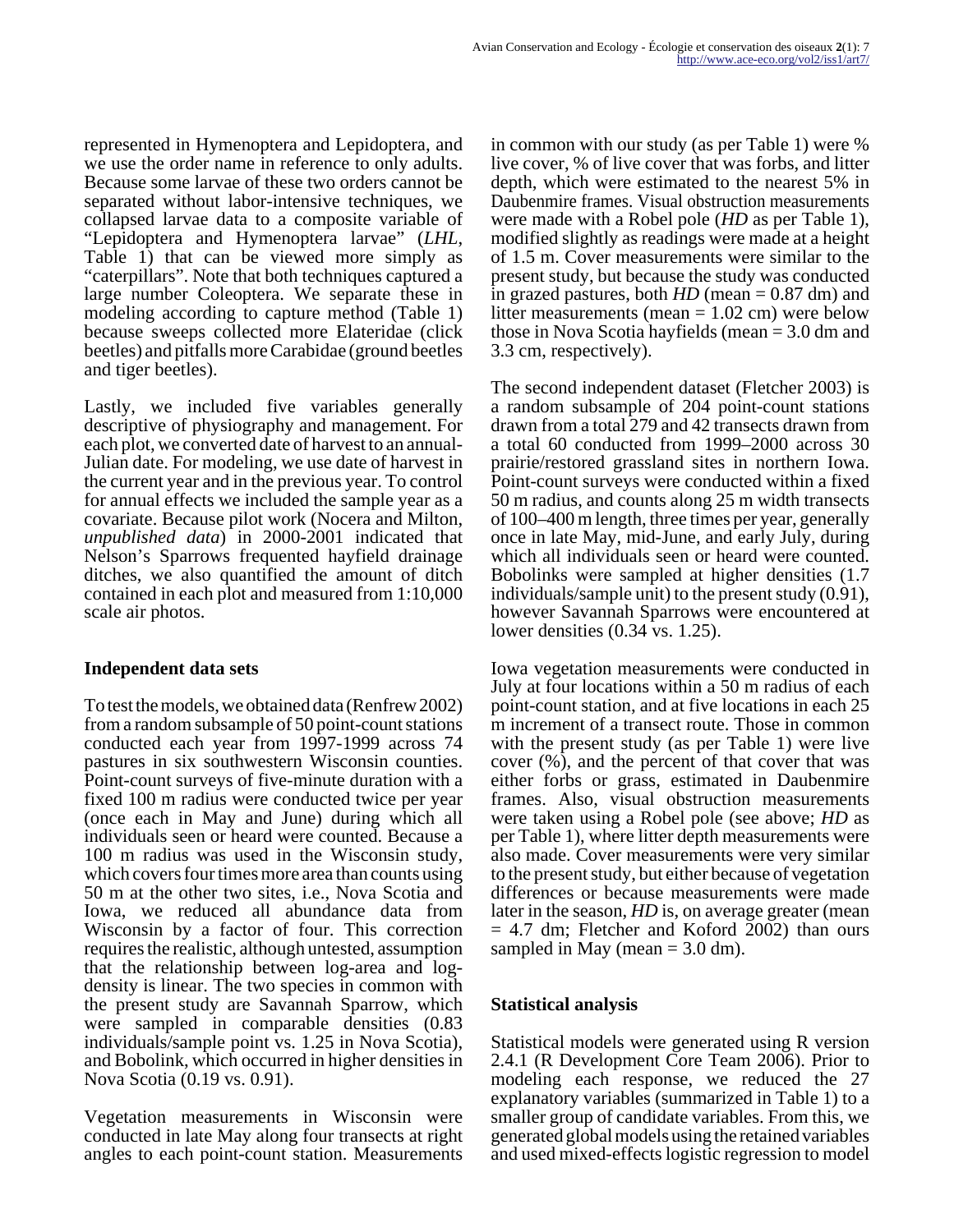represented in Hymenoptera and Lepidoptera, and we use the order name in reference to only adults. Because some larvae of these two orders cannot be separated without labor-intensive techniques, we collapsed larvae data to a composite variable of "Lepidoptera and Hymenoptera larvae" (*LHL*, Table 1) that can be viewed more simply as "caterpillars". Note that both techniques captured a large number Coleoptera. We separate these in modeling according to capture method (Table 1) because sweeps collected more Elateridae (click beetles) and pitfalls more Carabidae (ground beetles and tiger beetles).

Lastly, we included five variables generally descriptive of physiography and management. For each plot, we converted date of harvest to an annual-Julian date. For modeling, we use date of harvest in the current year and in the previous year. To control for annual effects we included the sample year as a covariate. Because pilot work (Nocera and Milton, *unpublished data*) in 2000-2001 indicated that Nelson's Sparrows frequented hayfield drainage ditches, we also quantified the amount of ditch contained in each plot and measured from 1:10,000 scale air photos.

### **Independent data sets**

To test the models, we obtained data (Renfrew 2002) from a random subsample of 50 point-count stations conducted each year from 1997-1999 across 74 pastures in six southwestern Wisconsin counties. Point-count surveys of five-minute duration with a fixed 100 m radius were conducted twice per year (once each in May and June) during which all individuals seen or heard were counted. Because a 100 m radius was used in the Wisconsin study, which covers four times more area than counts using 50 m at the other two sites, i.e., Nova Scotia and Iowa, we reduced all abundance data from Wisconsin by a factor of four. This correction requires the realistic, although untested, assumption that the relationship between log-area and logdensity is linear. The two species in common with the present study are Savannah Sparrow, which were sampled in comparable densities (0.83 individuals/sample point vs. 1.25 in Nova Scotia), and Bobolink, which occurred in higher densities in Nova Scotia (0.19 vs. 0.91).

Vegetation measurements in Wisconsin were conducted in late May along four transects at right angles to each point-count station. Measurements

in common with our study (as per Table 1) were % live cover, % of live cover that was forbs, and litter depth, which were estimated to the nearest 5% in Daubenmire frames. Visual obstruction measurements were made with a Robel pole (*HD* as per Table 1), modified slightly as readings were made at a height of 1.5 m. Cover measurements were similar to the present study, but because the study was conducted in grazed pastures, both  $HD$  (mean  $= 0.87$  dm) and litter measurements (mean  $= 1.02$  cm) were below those in Nova Scotia hayfields (mean = 3.0 dm and 3.3 cm, respectively).

The second independent dataset (Fletcher 2003) is a random subsample of 204 point-count stations drawn from a total 279 and 42 transects drawn from a total 60 conducted from 1999–2000 across 30 prairie/restored grassland sites in northern Iowa. Point-count surveys were conducted within a fixed 50 m radius, and counts along 25 m width transects of 100–400 m length, three times per year, generally once in late May, mid-June, and early July, during which all individuals seen or heard were counted. Bobolinks were sampled at higher densities (1.7 individuals/sample unit) to the present study (0.91), however Savannah Sparrows were encountered at lower densities (0.34 vs. 1.25).

Iowa vegetation measurements were conducted in July at four locations within a 50 m radius of each point-count station, and at five locations in each 25 m increment of a transect route. Those in common with the present study (as per Table 1) were live cover (%), and the percent of that cover that was either forbs or grass, estimated in Daubenmire frames. Also, visual obstruction measurements were taken using a Robel pole (see above; *HD* as per Table 1), where litter depth measurements were also made. Cover measurements were very similar to the present study, but either because of vegetation differences or because measurements were made later in the season, *HD* is, on average greater (mean = 4.7 dm; Fletcher and Koford 2002) than ours sampled in May (mean  $= 3.0$  dm).

# **Statistical analysis**

Statistical models were generated using R version 2.4.1 (R Development Core Team 2006). Prior to modeling each response, we reduced the 27 explanatory variables (summarized in Table 1) to a smaller group of candidate variables. From this, we generated global models using the retained variables and used mixed-effects logistic regression to model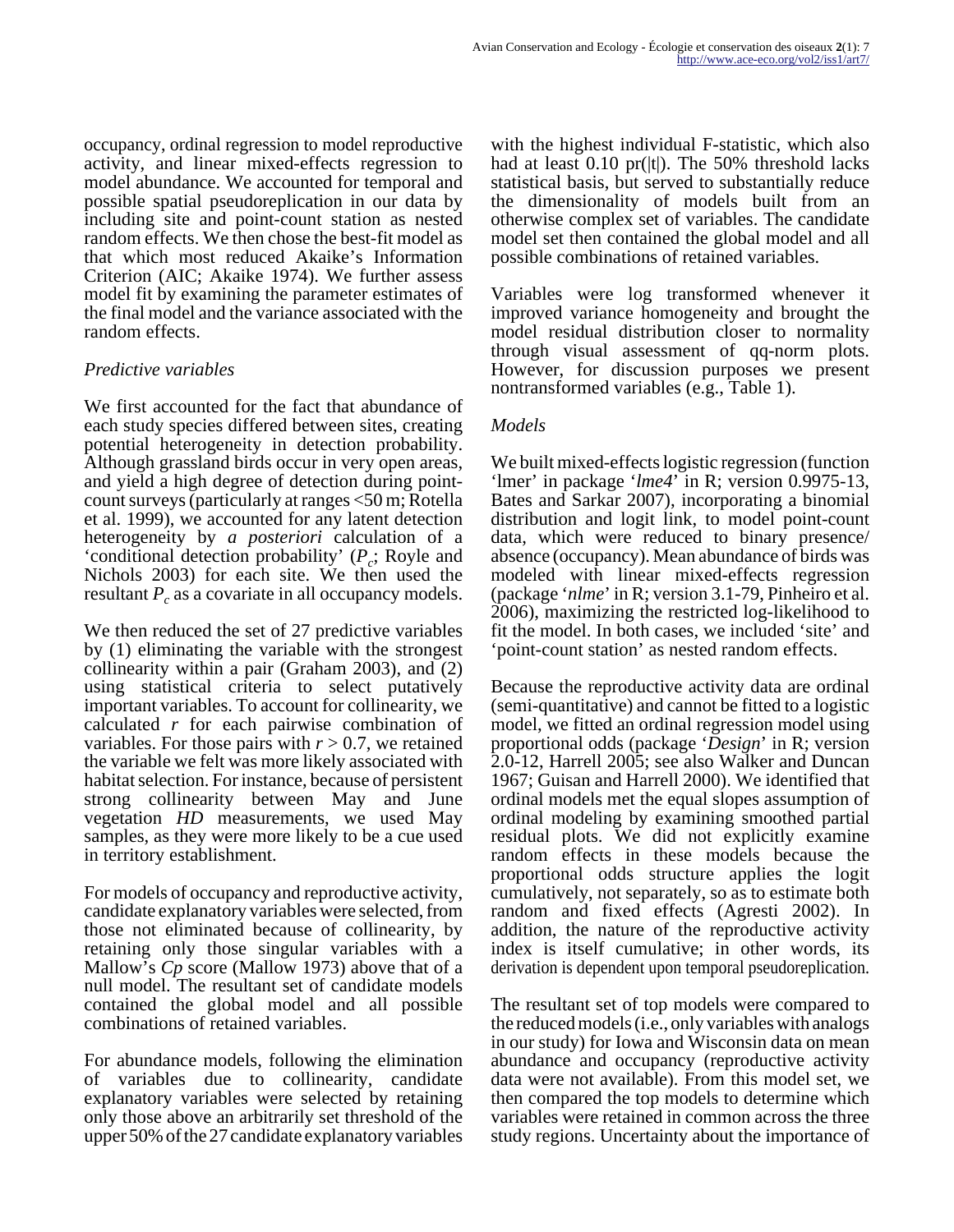occupancy, ordinal regression to model reproductive activity, and linear mixed-effects regression to model abundance. We accounted for temporal and possible spatial pseudoreplication in our data by including site and point-count station as nested random effects. We then chose the best-fit model as that which most reduced Akaike's Information Criterion (AIC; Akaike 1974). We further assess model fit by examining the parameter estimates of the final model and the variance associated with the random effects.

#### *Predictive variables*

We first accounted for the fact that abundance of each study species differed between sites, creating potential heterogeneity in detection probability. Although grassland birds occur in very open areas, and yield a high degree of detection during pointcount surveys (particularly at ranges <50 m; Rotella et al. 1999), we accounted for any latent detection heterogeneity by *a posteriori* calculation of a 'conditional detection probability' (*P<sup>c</sup>* ; Royle and Nichols 2003) for each site. We then used the resultant  $P_c$  as a covariate in all occupancy models.

We then reduced the set of 27 predictive variables by (1) eliminating the variable with the strongest collinearity within a pair (Graham 2003), and (2) using statistical criteria to select putatively important variables. To account for collinearity, we calculated *r* for each pairwise combination of variables. For those pairs with  $r > 0.7$ , we retained the variable we felt was more likely associated with habitat selection. For instance, because of persistent strong collinearity between May and June vegetation *HD* measurements, we used May samples, as they were more likely to be a cue used in territory establishment.

For models of occupancy and reproductive activity, candidate explanatory variables were selected, from those not eliminated because of collinearity, by retaining only those singular variables with a Mallow's *Cp* score (Mallow 1973) above that of a null model. The resultant set of candidate models contained the global model and all possible combinations of retained variables.

For abundance models, following the elimination of variables due to collinearity, candidate explanatory variables were selected by retaining only those above an arbitrarily set threshold of the upper 50% of the 27 candidate explanatory variables with the highest individual F-statistic, which also had at least  $0.10$  pr(|t|). The 50% threshold lacks statistical basis, but served to substantially reduce the dimensionality of models built from an otherwise complex set of variables. The candidate model set then contained the global model and all possible combinations of retained variables.

Variables were log transformed whenever it improved variance homogeneity and brought the model residual distribution closer to normality through visual assessment of qq-norm plots. However, for discussion purposes we present nontransformed variables (e.g., Table 1).

#### *Models*

We built mixed-effects logistic regression (function 'lmer' in package '*lme4*' in R; version 0.9975-13, Bates and Sarkar 2007), incorporating a binomial distribution and logit link, to model point-count data, which were reduced to binary presence/ absence (occupancy). Mean abundance of birds was modeled with linear mixed-effects regression (package '*nlme*' in R; version 3.1-79, Pinheiro et al. 2006), maximizing the restricted log-likelihood to fit the model. In both cases, we included 'site' and 'point-count station' as nested random effects.

Because the reproductive activity data are ordinal (semi-quantitative) and cannot be fitted to a logistic model, we fitted an ordinal regression model using proportional odds (package '*Design*' in R; version 2.0-12, Harrell 2005; see also Walker and Duncan 1967; Guisan and Harrell 2000). We identified that ordinal models met the equal slopes assumption of ordinal modeling by examining smoothed partial residual plots. We did not explicitly examine random effects in these models because the proportional odds structure applies the logit cumulatively, not separately, so as to estimate both random and fixed effects (Agresti 2002). In addition, the nature of the reproductive activity index is itself cumulative; in other words, its derivation is dependent upon temporal pseudoreplication.

The resultant set of top models were compared to the reduced models (i.e., only variables with analogs in our study) for Iowa and Wisconsin data on mean abundance and occupancy (reproductive activity data were not available). From this model set, we then compared the top models to determine which variables were retained in common across the three study regions. Uncertainty about the importance of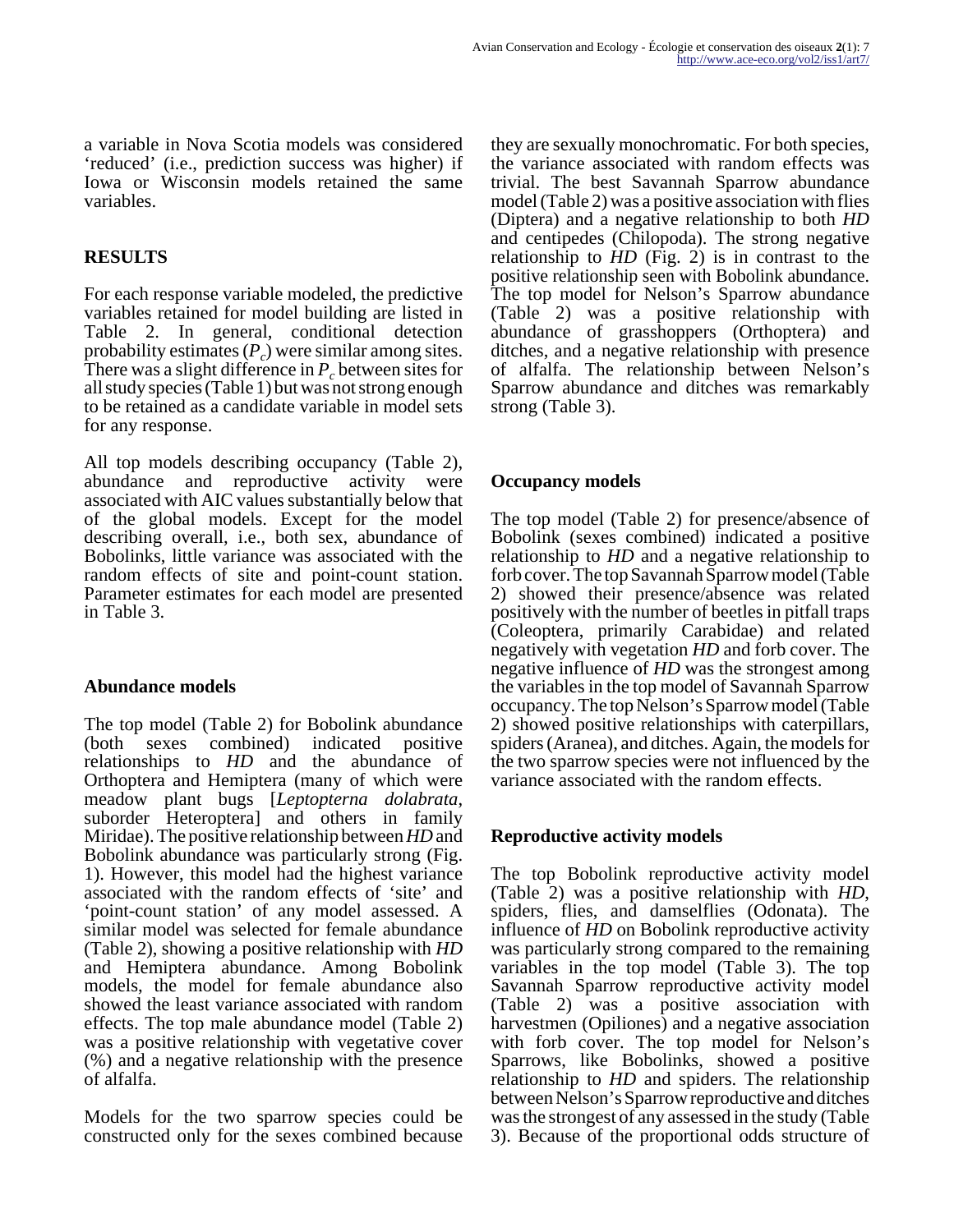a variable in Nova Scotia models was considered 'reduced' (i.e., prediction success was higher) if Iowa or Wisconsin models retained the same variables.

# **RESULTS**

For each response variable modeled, the predictive variables retained for model building are listed in Table 2. In general, conditional detection probability estimates (*P<sup>c</sup>* ) were similar among sites. There was a slight difference in  $P_c$  between sites for all study species (Table 1) but was not strong enough to be retained as a candidate variable in model sets for any response.

All top models describing occupancy (Table 2), abundance and reproductive activity were associated with AIC values substantially below that of the global models. Except for the model describing overall, i.e., both sex, abundance of Bobolinks, little variance was associated with the random effects of site and point-count station. Parameter estimates for each model are presented in Table 3.

### **Abundance models**

The top model (Table 2) for Bobolink abundance (both sexes combined) indicated positive relationships to *HD* and the abundance of Orthoptera and Hemiptera (many of which were meadow plant bugs [*Leptopterna dolabrata*, suborder Heteroptera] and others in family Miridae). The positive relationship between *HD* and Bobolink abundance was particularly strong (Fig. 1). However, this model had the highest variance associated with the random effects of 'site' and 'point-count station' of any model assessed. A similar model was selected for female abundance (Table 2), showing a positive relationship with *HD* and Hemiptera abundance. Among Bobolink models, the model for female abundance also showed the least variance associated with random effects. The top male abundance model (Table 2) was a positive relationship with vegetative cover (%) and a negative relationship with the presence of alfalfa.

Models for the two sparrow species could be constructed only for the sexes combined because they are sexually monochromatic. For both species, the variance associated with random effects was trivial. The best Savannah Sparrow abundance model (Table 2) was a positive association with flies (Diptera) and a negative relationship to both *HD* and centipedes (Chilopoda). The strong negative relationship to *HD* (Fig. 2) is in contrast to the positive relationship seen with Bobolink abundance. The top model for Nelson's Sparrow abundance (Table 2) was a positive relationship with abundance of grasshoppers (Orthoptera) and ditches, and a negative relationship with presence of alfalfa. The relationship between Nelson's Sparrow abundance and ditches was remarkably strong (Table 3).

# **Occupancy models**

The top model (Table 2) for presence/absence of Bobolink (sexes combined) indicated a positive relationship to *HD* and a negative relationship to forb cover. The top Savannah Sparrow model (Table 2) showed their presence/absence was related positively with the number of beetles in pitfall traps (Coleoptera, primarily Carabidae) and related negatively with vegetation *HD* and forb cover. The negative influence of *HD* was the strongest among the variables in the top model of Savannah Sparrow occupancy. The top Nelson's Sparrow model (Table 2) showed positive relationships with caterpillars, spiders (Aranea), and ditches. Again, the models for the two sparrow species were not influenced by the variance associated with the random effects.

# **Reproductive activity models**

The top Bobolink reproductive activity model (Table 2) was a positive relationship with *HD*, spiders, flies, and damselflies (Odonata). The influence of *HD* on Bobolink reproductive activity was particularly strong compared to the remaining variables in the top model (Table 3). The top Savannah Sparrow reproductive activity model (Table 2) was a positive association with harvestmen (Opiliones) and a negative association with forb cover. The top model for Nelson's Sparrows, like Bobolinks, showed a positive relationship to *HD* and spiders. The relationship between Nelson's Sparrow reproductive and ditches was the strongest of any assessed in the study (Table 3). Because of the proportional odds structure of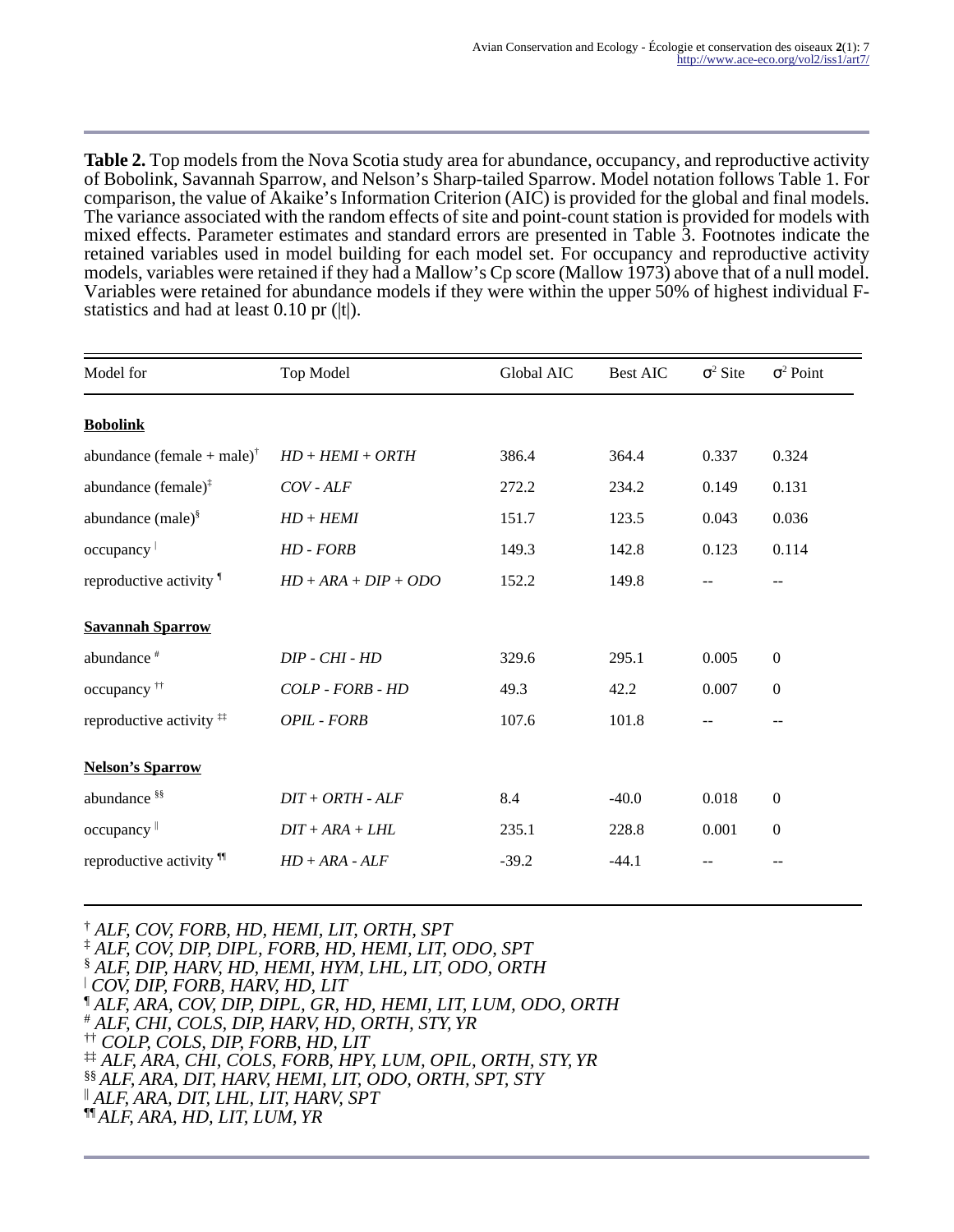**Table 2.** Top models from the Nova Scotia study area for abundance, occupancy, and reproductive activity of Bobolink, Savannah Sparrow, and Nelson's Sharp-tailed Sparrow. Model notation follows Table 1. For comparison, the value of Akaike's Information Criterion (AIC) is provided for the global and final models. The variance associated with the random effects of site and point-count station is provided for models with mixed effects. Parameter estimates and standard errors are presented in Table 3. Footnotes indicate the retained variables used in model building for each model set. For occupancy and reproductive activity models, variables were retained if they had a Mallow's Cp score (Mallow 1973) above that of a null model. Variables were retained for abundance models if they were within the upper 50% of highest individual Fstatistics and had at least 0.10 pr (|t|).

| Model for                           | Top Model              | Global AIC | <b>Best AIC</b> | $\sigma^2$ Site | $\sigma^2$ Point |
|-------------------------------------|------------------------|------------|-----------------|-----------------|------------------|
| <b>Bobolink</b>                     |                        |            |                 |                 |                  |
| abundance (female + male) $\dagger$ | $HD + HEMI + ORTH$     | 386.4      | 364.4           | 0.337           | 0.324            |
| abundance (female) <sup>‡</sup>     | $COV - ALF$            | 272.2      | 234.2           | 0.149           | 0.131            |
| abundance (male) <sup>§</sup>       | $HD + HEMI$            | 151.7      | 123.5           | 0.043           | 0.036            |
| $\alpha$ occupancy                  | $HD$ - $FORB$          | 149.3      | 142.8           | 0.123           | 0.114            |
| reproductive activity <sup>1</sup>  | $HD + ARA + DIP + ODO$ | 152.2      | 149.8           |                 |                  |
| <b>Savannah Sparrow</b>             |                        |            |                 |                 |                  |
| abundance <sup>#</sup>              | DIP - CHI - HD         | 329.6      | 295.1           | 0.005           | $\boldsymbol{0}$ |
| occupancy <sup>††</sup>             | COLP - FORB - HD       | 49.3       | 42.2            | 0.007           | $\overline{0}$   |
| reproductive activity <sup>##</sup> | OPIL - FORB            | 107.6      | 101.8           |                 |                  |
| <b>Nelson's Sparrow</b>             |                        |            |                 |                 |                  |
| abundance <sup>§§</sup>             | $DIT + ORTH - ALF$     | 8.4        | $-40.0$         | 0.018           | $\boldsymbol{0}$ |
| $\alpha$ occupancy $\ $             | $DIT + ARA + LHL$      | 235.1      | 228.8           | 0.001           | $\boldsymbol{0}$ |
| reproductive activity <sup>11</sup> | $HD + ARA - ALF$       | $-39.2$    | $-44.1$         |                 |                  |

† *ALF, COV, FORB, HD, HEMI, LIT, ORTH, SPT* ‡ *ALF, COV, DIP, DIPL, FORB, HD, HEMI, LIT, ODO, SPT* § *ALF, DIP, HARV, HD, HEMI, HYM, LHL, LIT, ODO, ORTH* <sup>|</sup> *COV, DIP, FORB, HARV, HD, LIT* ¶ *ALF, ARA, COV, DIP, DIPL, GR, HD, HEMI, LIT, LUM, ODO, ORTH* # *ALF, CHI, COLS, DIP, HARV, HD, ORTH, STY, YR* †† *COLP, COLS, DIP, FORB, HD, LIT* ‡‡ *ALF, ARA, CHI, COLS, FORB, HPY, LUM, OPIL, ORTH, STY, YR* §§ *ALF, ARA, DIT, HARV, HEMI, LIT, ODO, ORTH, SPT, STY* || *ALF, ARA, DIT, LHL, LIT, HARV, SPT* ¶¶ *ALF, ARA, HD, LIT, LUM, YR*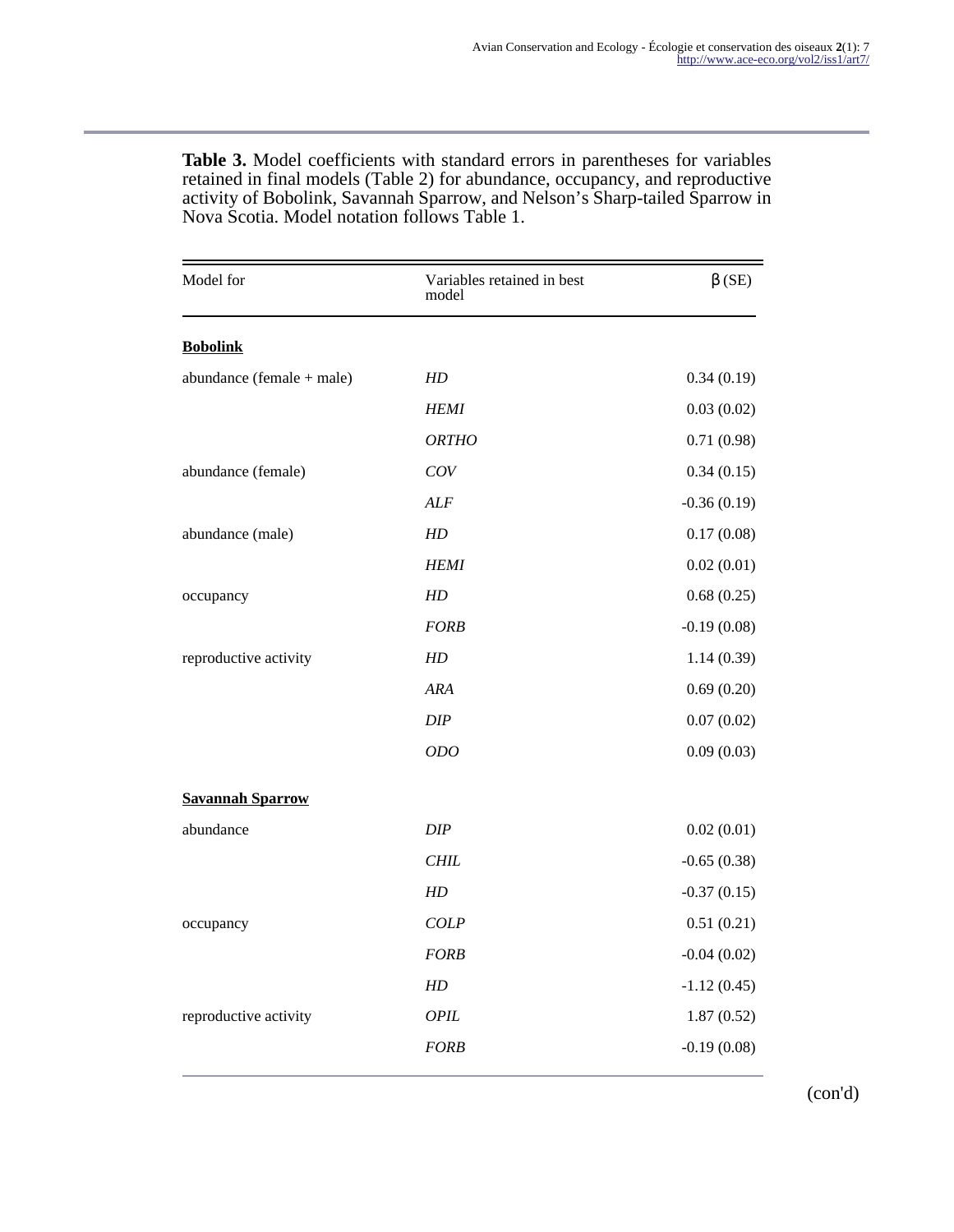| Model for                 | Variables retained in best<br>model | $\beta$ (SE)  |
|---------------------------|-------------------------------------|---------------|
| <b>Bobolink</b>           |                                     |               |
| abundance (female + male) | HD                                  | 0.34(0.19)    |
|                           | <b>HEMI</b>                         | 0.03(0.02)    |
|                           | <b>ORTHO</b>                        | 0.71(0.98)    |
| abundance (female)        | COV                                 | 0.34(0.15)    |
|                           | ALF                                 | $-0.36(0.19)$ |
| abundance (male)          | HD                                  | 0.17(0.08)    |
|                           | <b>HEMI</b>                         | 0.02(0.01)    |
| occupancy                 | HD                                  | 0.68(0.25)    |
|                           | <b>FORB</b>                         | $-0.19(0.08)$ |
| reproductive activity     | HD                                  | 1.14(0.39)    |
|                           | ARA                                 | 0.69(0.20)    |
|                           | <b>DIP</b>                          | 0.07(0.02)    |
|                           | ODO                                 | 0.09(0.03)    |
| <b>Savannah Sparrow</b>   |                                     |               |
| abundance                 | DIP                                 | 0.02(0.01)    |
|                           | <b>CHIL</b>                         | $-0.65(0.38)$ |
|                           | HD                                  | $-0.37(0.15)$ |
| occupancy                 | COLP                                | 0.51(0.21)    |
|                           | <b>FORB</b>                         | $-0.04(0.02)$ |
|                           | HD                                  | $-1.12(0.45)$ |
| reproductive activity     | <b>OPIL</b>                         | 1.87(0.52)    |
|                           | <b>FORB</b>                         | $-0.19(0.08)$ |

**Table 3.** Model coefficients with standard errors in parentheses for variables retained in final models (Table 2) for abundance, occupancy, and reproductive activity of Bobolink, Savannah Sparrow, and Nelson's Sharp-tailed Sparrow in Nova Scotia. Model notation follows Table 1.

(con'd)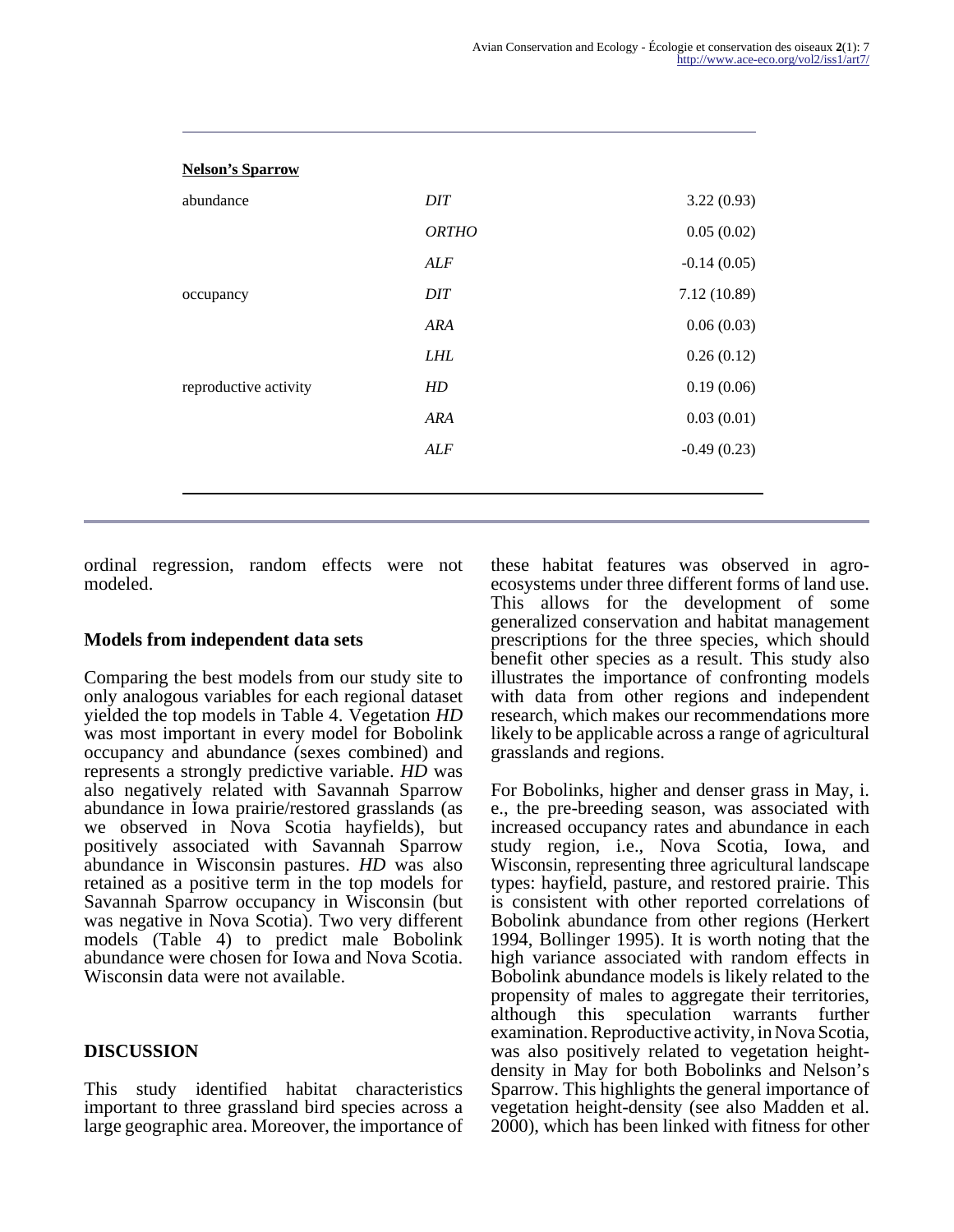| abundance             | DIT          | 3.22(0.93)    |
|-----------------------|--------------|---------------|
|                       | <b>ORTHO</b> | 0.05(0.02)    |
|                       | ALF          | $-0.14(0.05)$ |
| occupancy             | DIT          | 7.12 (10.89)  |
|                       | ARA          | 0.06(0.03)    |
|                       | <i>LHL</i>   | 0.26(0.12)    |
| reproductive activity | HD           | 0.19(0.06)    |
|                       | ARA          | 0.03(0.01)    |
|                       | ALF          | $-0.49(0.23)$ |

ordinal regression, random effects were not modeled.

### **Models from independent data sets**

Comparing the best models from our study site to only analogous variables for each regional dataset yielded the top models in Table 4. Vegetation *HD* was most important in every model for Bobolink occupancy and abundance (sexes combined) and represents a strongly predictive variable. *HD* was also negatively related with Savannah Sparrow abundance in Iowa prairie/restored grasslands (as we observed in Nova Scotia hayfields), but positively associated with Savannah Sparrow abundance in Wisconsin pastures. *HD* was also retained as a positive term in the top models for Savannah Sparrow occupancy in Wisconsin (but was negative in Nova Scotia). Two very different models (Table 4) to predict male Bobolink abundance were chosen for Iowa and Nova Scotia. Wisconsin data were not available.

# **DISCUSSION**

This study identified habitat characteristics important to three grassland bird species across a large geographic area. Moreover, the importance of these habitat features was observed in agroecosystems under three different forms of land use. This allows for the development of some generalized conservation and habitat management prescriptions for the three species, which should benefit other species as a result. This study also illustrates the importance of confronting models with data from other regions and independent research, which makes our recommendations more likely to be applicable across a range of agricultural grasslands and regions.

For Bobolinks, higher and denser grass in May, i. e., the pre-breeding season, was associated with increased occupancy rates and abundance in each study region, i.e., Nova Scotia, Iowa, and Wisconsin, representing three agricultural landscape types: hayfield, pasture, and restored prairie. This is consistent with other reported correlations of Bobolink abundance from other regions (Herkert 1994, Bollinger 1995). It is worth noting that the high variance associated with random effects in Bobolink abundance models is likely related to the propensity of males to aggregate their territories, although this speculation warrants further examination. Reproductive activity, in Nova Scotia, was also positively related to vegetation heightdensity in May for both Bobolinks and Nelson's Sparrow. This highlights the general importance of vegetation height-density (see also Madden et al. 2000), which has been linked with fitness for other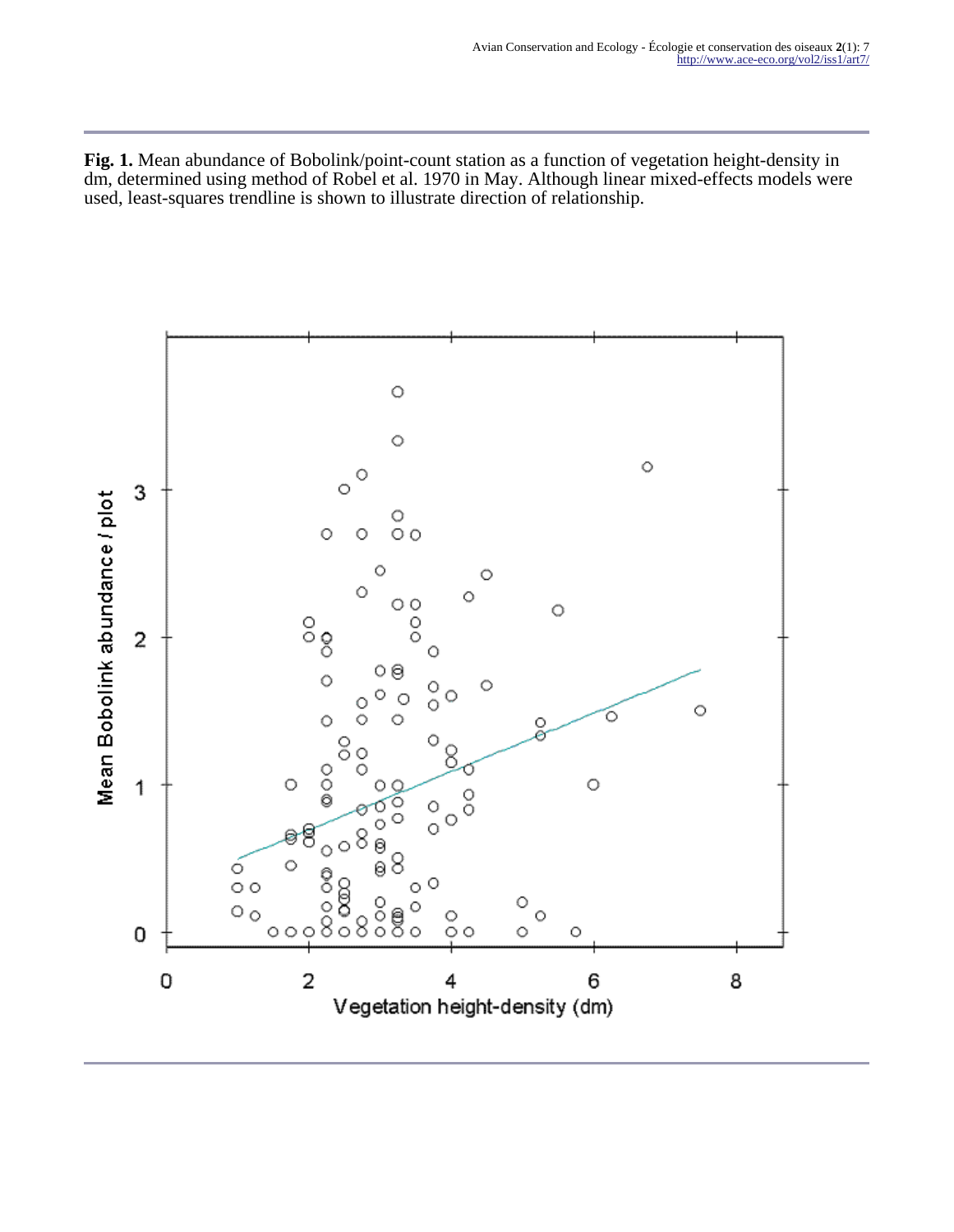**Fig. 1.** Mean abundance of Bobolink/point-count station as a function of vegetation height-density in dm, determined using method of Robel et al. 1970 in May. Although linear mixed-effects models were used, least-squares trendline is shown to illustrate direction of relationship.

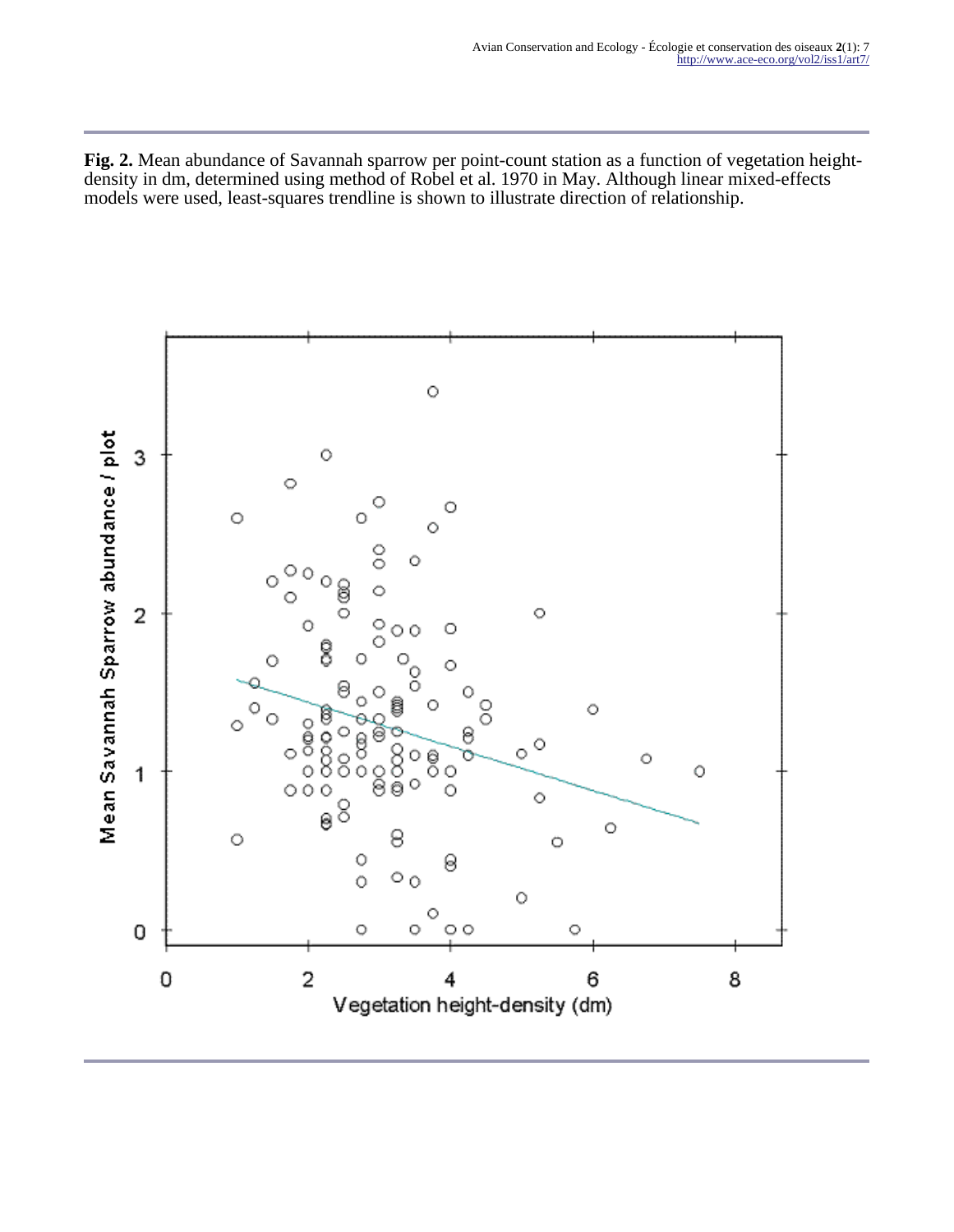**Fig. 2.** Mean abundance of Savannah sparrow per point-count station as a function of vegetation heightdensity in dm, determined using method of Robel et al. 1970 in May. Although linear mixed-effects models were used, least-squares trendline is shown to illustrate direction of relationship.

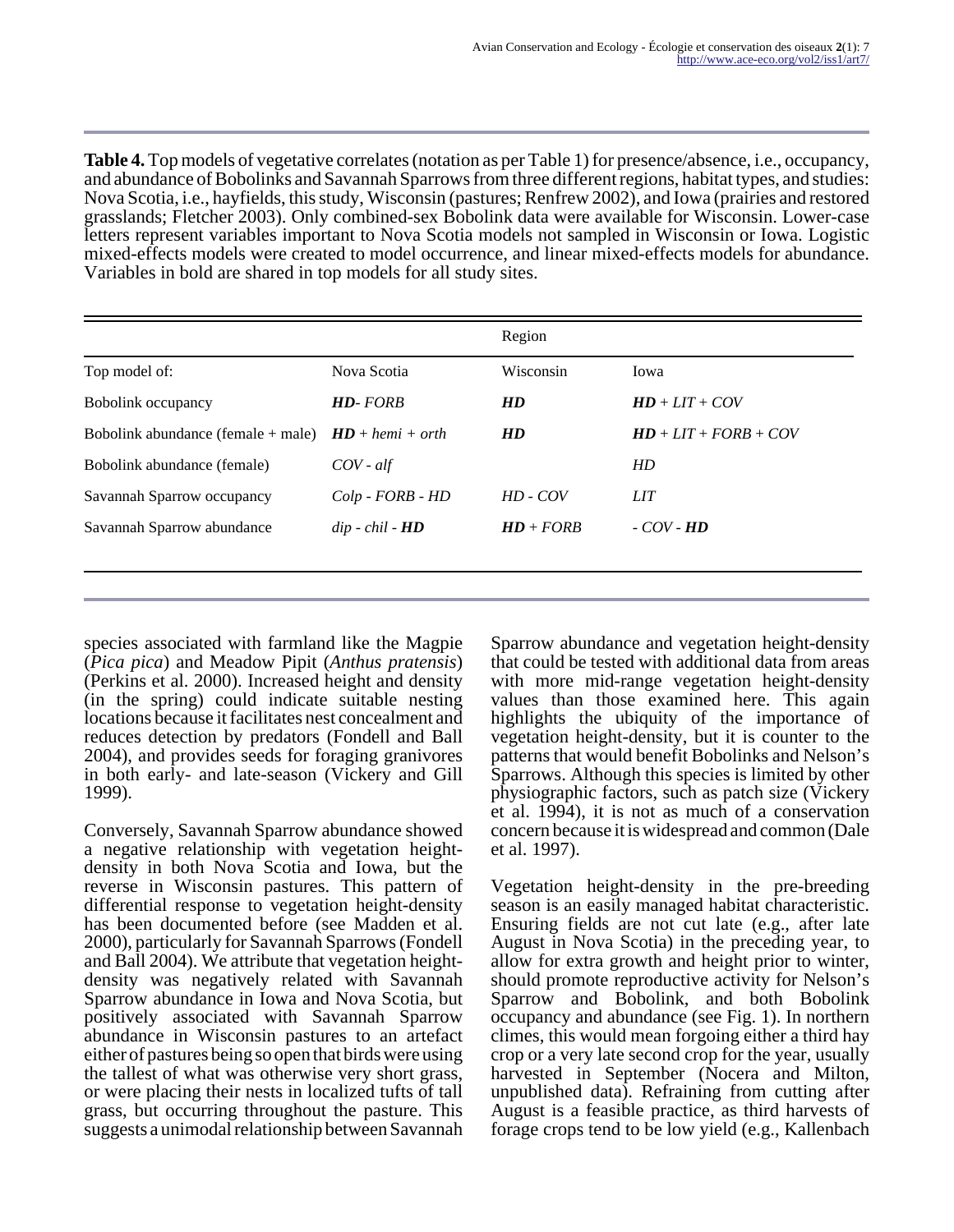**Table 4.** Top models of vegetative correlates (notation as per Table 1) for presence/absence, i.e., occupancy, and abundance of Bobolinks and Savannah Sparrows from three different regions, habitat types, and studies: Nova Scotia, i.e., hayfields, this study, Wisconsin (pastures; Renfrew 2002), and Iowa (prairies and restored grasslands; Fletcher 2003). Only combined-sex Bobolink data were available for Wisconsin. Lower-case letters represent variables important to Nova Scotia models not sampled in Wisconsin or Iowa. Logistic mixed-effects models were created to model occurrence, and linear mixed-effects models for abundance. Variables in bold are shared in top models for all study sites.

|                                      |                        | Region       |                         |
|--------------------------------------|------------------------|--------------|-------------------------|
| Top model of:                        | Nova Scotia            | Wisconsin    | Iowa                    |
| Bobolink occupancy                   | HD-FORB                | HD           | $HD + LIT + COV$        |
| Bobolink abundance (female $+$ male) | $HD + hemi + orth$     | HD           | $HD + LIT + FORB + COV$ |
| Bobolink abundance (female)          | $COV - alf$            |              | HD                      |
| Savannah Sparrow occupancy           | $Colp$ - $FORB$ - $HD$ | $HD$ - $COV$ | <b>LIT</b>              |
| Savannah Sparrow abundance           | $dip$ - $chi$ - $HD$   | $HD + FORB$  | $-COV - HD$             |

species associated with farmland like the Magpie (*Pica pica*) and Meadow Pipit (*Anthus pratensis*) (Perkins et al. 2000). Increased height and density (in the spring) could indicate suitable nesting locations because it facilitates nest concealment and reduces detection by predators (Fondell and Ball 2004), and provides seeds for foraging granivores in both early- and late-season (Vickery and Gill 1999).

Conversely, Savannah Sparrow abundance showed a negative relationship with vegetation heightdensity in both Nova Scotia and Iowa, but the reverse in Wisconsin pastures. This pattern of differential response to vegetation height-density has been documented before (see Madden et al. 2000), particularly for Savannah Sparrows (Fondell and Ball 2004). We attribute that vegetation heightdensity was negatively related with Savannah Sparrow abundance in Iowa and Nova Scotia, but positively associated with Savannah Sparrow abundance in Wisconsin pastures to an artefact either of pastures being so open that birds were using the tallest of what was otherwise very short grass, or were placing their nests in localized tufts of tall grass, but occurring throughout the pasture. This suggests a unimodal relationship between Savannah

Sparrow abundance and vegetation height-density that could be tested with additional data from areas with more mid-range vegetation height-density values than those examined here. This again highlights the ubiquity of the importance of vegetation height-density, but it is counter to the patterns that would benefit Bobolinks and Nelson's Sparrows. Although this species is limited by other physiographic factors, such as patch size (Vickery et al. 1994), it is not as much of a conservation concern because it is widespread and common (Dale et al. 1997).

Vegetation height-density in the pre-breeding season is an easily managed habitat characteristic. Ensuring fields are not cut late (e.g., after late August in Nova Scotia) in the preceding year, to allow for extra growth and height prior to winter, should promote reproductive activity for Nelson's Sparrow and Bobolink, and both Bobolink occupancy and abundance (see Fig. 1). In northern climes, this would mean forgoing either a third hay crop or a very late second crop for the year, usually harvested in September (Nocera and Milton, unpublished data). Refraining from cutting after August is a feasible practice, as third harvests of forage crops tend to be low yield (e.g., Kallenbach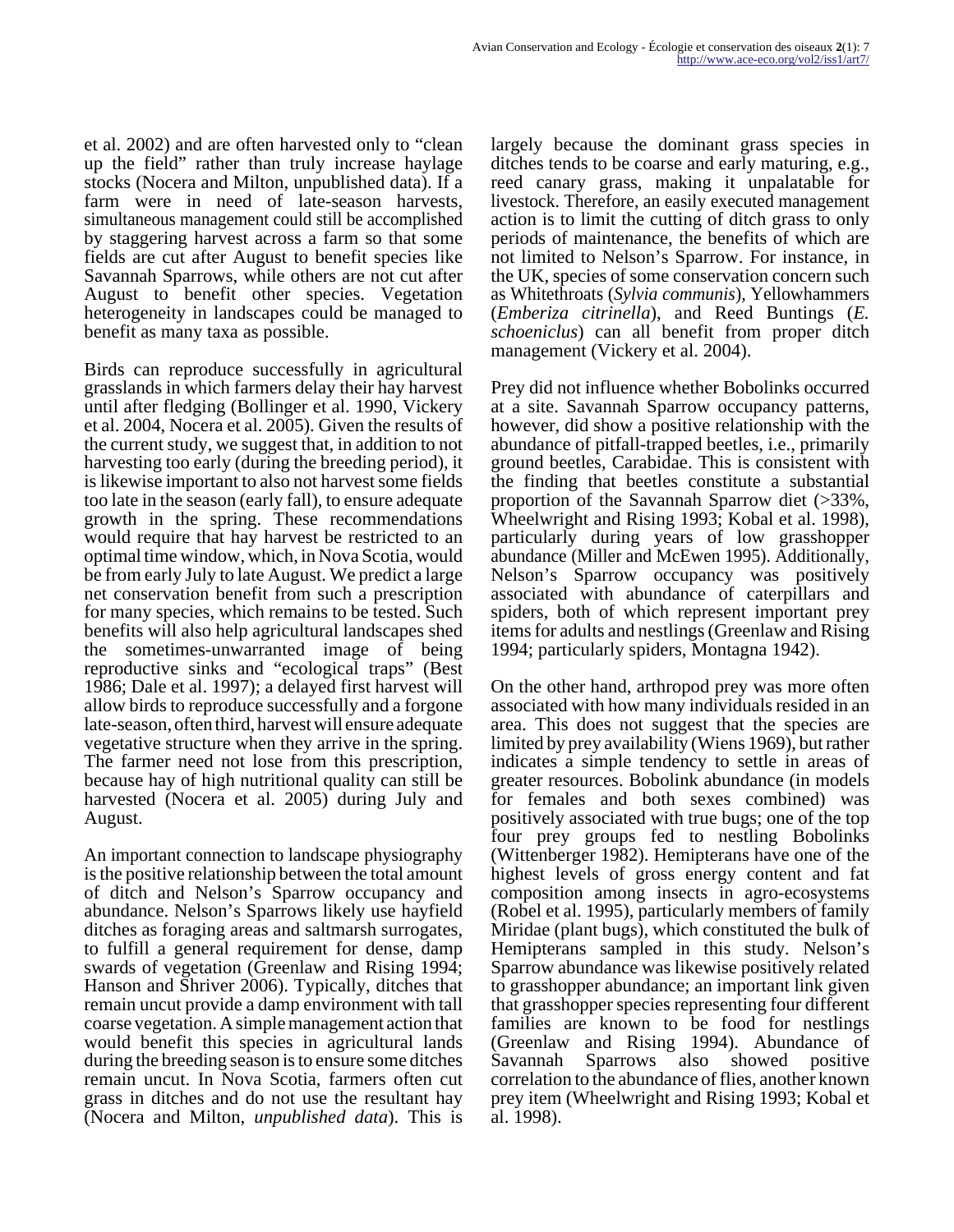et al. 2002) and are often harvested only to "clean up the field" rather than truly increase haylage stocks (Nocera and Milton, unpublished data). If a farm were in need of late-season harvests, simultaneous management could still be accomplished by staggering harvest across a farm so that some fields are cut after August to benefit species like Savannah Sparrows, while others are not cut after August to benefit other species. Vegetation heterogeneity in landscapes could be managed to benefit as many taxa as possible.

Birds can reproduce successfully in agricultural grasslands in which farmers delay their hay harvest until after fledging (Bollinger et al. 1990, Vickery et al. 2004, Nocera et al. 2005). Given the results of the current study, we suggest that, in addition to not harvesting too early (during the breeding period), it is likewise important to also not harvest some fields too late in the season (early fall), to ensure adequate growth in the spring. These recommendations would require that hay harvest be restricted to an optimal time window, which, in Nova Scotia, would be from early July to late August. We predict a large net conservation benefit from such a prescription for many species, which remains to be tested. Such benefits will also help agricultural landscapes shed the sometimes-unwarranted image of being reproductive sinks and "ecological traps" (Best 1986; Dale et al. 1997); a delayed first harvest will allow birds to reproduce successfully and a forgone late-season, often third, harvest will ensure adequate vegetative structure when they arrive in the spring. The farmer need not lose from this prescription, because hay of high nutritional quality can still be harvested (Nocera et al. 2005) during July and August.

An important connection to landscape physiography is the positive relationship between the total amount of ditch and Nelson's Sparrow occupancy and abundance. Nelson's Sparrows likely use hayfield ditches as foraging areas and saltmarsh surrogates, to fulfill a general requirement for dense, damp swards of vegetation (Greenlaw and Rising 1994; Hanson and Shriver 2006). Typically, ditches that remain uncut provide a damp environment with tall coarse vegetation. A simple management action that would benefit this species in agricultural lands during the breeding season is to ensure some ditches remain uncut. In Nova Scotia, farmers often cut grass in ditches and do not use the resultant hay (Nocera and Milton, *unpublished data*). This is largely because the dominant grass species in ditches tends to be coarse and early maturing, e.g., reed canary grass, making it unpalatable for livestock. Therefore, an easily executed management action is to limit the cutting of ditch grass to only periods of maintenance, the benefits of which are not limited to Nelson's Sparrow. For instance, in the UK, species of some conservation concern such as Whitethroats (*Sylvia communis*), Yellowhammers (*Emberiza citrinella*), and Reed Buntings (*E. schoeniclus*) can all benefit from proper ditch management (Vickery et al. 2004).

Prey did not influence whether Bobolinks occurred at a site. Savannah Sparrow occupancy patterns, however, did show a positive relationship with the abundance of pitfall-trapped beetles, i.e., primarily ground beetles, Carabidae. This is consistent with the finding that beetles constitute a substantial proportion of the Savannah Sparrow diet (>33%, Wheelwright and Rising 1993; Kobal et al. 1998), particularly during years of low grasshopper abundance (Miller and McEwen 1995). Additionally, Nelson's Sparrow occupancy was positively associated with abundance of caterpillars and spiders, both of which represent important prey items for adults and nestlings (Greenlaw and Rising 1994; particularly spiders, Montagna 1942).

On the other hand, arthropod prey was more often associated with how many individuals resided in an area. This does not suggest that the species are limited by prey availability (Wiens 1969), but rather indicates a simple tendency to settle in areas of greater resources. Bobolink abundance (in models for females and both sexes combined) was positively associated with true bugs; one of the top four prey groups fed to nestling Bobolinks (Wittenberger 1982). Hemipterans have one of the highest levels of gross energy content and fat composition among insects in agro-ecosystems (Robel et al. 1995), particularly members of family Miridae (plant bugs), which constituted the bulk of Hemipterans sampled in this study. Nelson's Sparrow abundance was likewise positively related to grasshopper abundance; an important link given that grasshopper species representing four different families are known to be food for nestlings (Greenlaw and Rising 1994). Abundance of Savannah Sparrows also showed positive correlation to the abundance of flies, another known prey item (Wheelwright and Rising 1993; Kobal et al. 1998).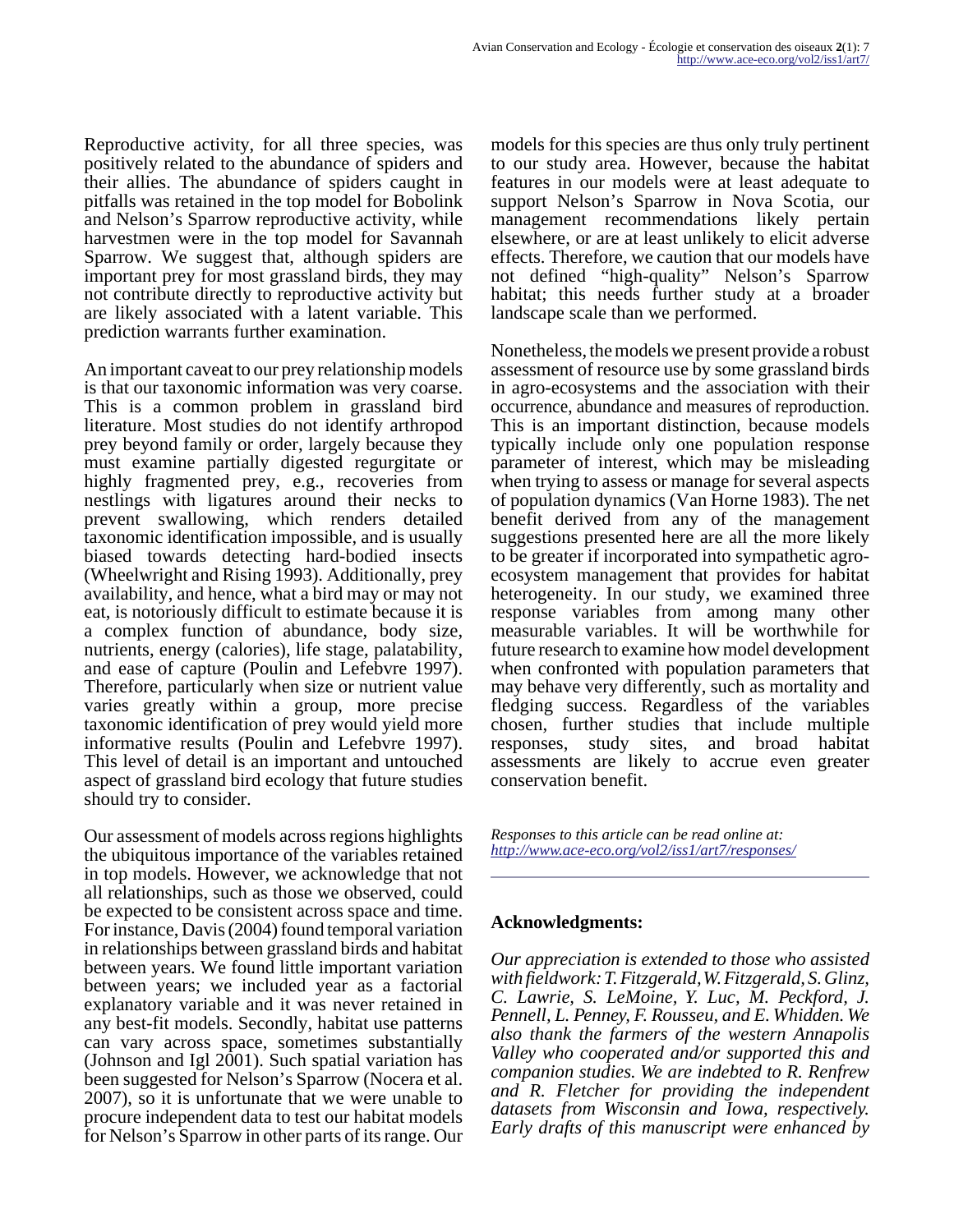Reproductive activity, for all three species, was positively related to the abundance of spiders and their allies. The abundance of spiders caught in pitfalls was retained in the top model for Bobolink and Nelson's Sparrow reproductive activity, while harvestmen were in the top model for Savannah Sparrow. We suggest that, although spiders are important prey for most grassland birds, they may not contribute directly to reproductive activity but are likely associated with a latent variable. This prediction warrants further examination.

An important caveat to our prey relationship models is that our taxonomic information was very coarse. This is a common problem in grassland bird literature. Most studies do not identify arthropod prey beyond family or order, largely because they must examine partially digested regurgitate or highly fragmented prey, e.g., recoveries from nestlings with ligatures around their necks to prevent swallowing, which renders detailed taxonomic identification impossible, and is usually biased towards detecting hard-bodied insects (Wheelwright and Rising 1993). Additionally, prey availability, and hence, what a bird may or may not eat, is notoriously difficult to estimate because it is a complex function of abundance, body size, nutrients, energy (calories), life stage, palatability, and ease of capture (Poulin and Lefebvre 1997). Therefore, particularly when size or nutrient value varies greatly within a group, more precise taxonomic identification of prey would yield more informative results (Poulin and Lefebvre 1997). This level of detail is an important and untouched aspect of grassland bird ecology that future studies should try to consider.

Our assessment of models across regions highlights the ubiquitous importance of the variables retained in top models. However, we acknowledge that not all relationships, such as those we observed, could be expected to be consistent across space and time. For instance, Davis (2004) found temporal variation in relationships between grassland birds and habitat between years. We found little important variation between years; we included year as a factorial explanatory variable and it was never retained in any best-fit models. Secondly, habitat use patterns can vary across space, sometimes substantially (Johnson and Igl 2001). Such spatial variation has been suggested for Nelson's Sparrow (Nocera et al. 2007), so it is unfortunate that we were unable to procure independent data to test our habitat models for Nelson's Sparrow in other parts of its range. Our

models for this species are thus only truly pertinent to our study area. However, because the habitat features in our models were at least adequate to support Nelson's Sparrow in Nova Scotia, our management recommendations likely pertain elsewhere, or are at least unlikely to elicit adverse effects. Therefore, we caution that our models have not defined "high-quality" Nelson's Sparrow habitat; this needs further study at a broader landscape scale than we performed.

Nonetheless, the models we present provide a robust assessment of resource use by some grassland birds in agro-ecosystems and the association with their occurrence, abundance and measures of reproduction. This is an important distinction, because models typically include only one population response parameter of interest, which may be misleading when trying to assess or manage for several aspects of population dynamics (Van Horne 1983). The net benefit derived from any of the management suggestions presented here are all the more likely to be greater if incorporated into sympathetic agroecosystem management that provides for habitat heterogeneity. In our study, we examined three response variables from among many other measurable variables. It will be worthwhile for future research to examine how model development when confronted with population parameters that may behave very differently, such as mortality and fledging success. Regardless of the variables chosen, further studies that include multiple responses, study sites, and broad habitat assessments are likely to accrue even greater conservation benefit.

*Responses to this article can be read online at: <http://www.ace-eco.org/vol2/iss1/art7/responses/>*

### **Acknowledgments:**

*Our appreciation is extended to those who assisted with fieldwork: T. Fitzgerald, W. Fitzgerald, S. Glinz, C. Lawrie, S. LeMoine, Y. Luc, M. Peckford, J. Pennell, L. Penney, F. Rousseu, and E. Whidden. We also thank the farmers of the western Annapolis Valley who cooperated and/or supported this and companion studies. We are indebted to R. Renfrew and R. Fletcher for providing the independent datasets from Wisconsin and Iowa, respectively. Early drafts of this manuscript were enhanced by*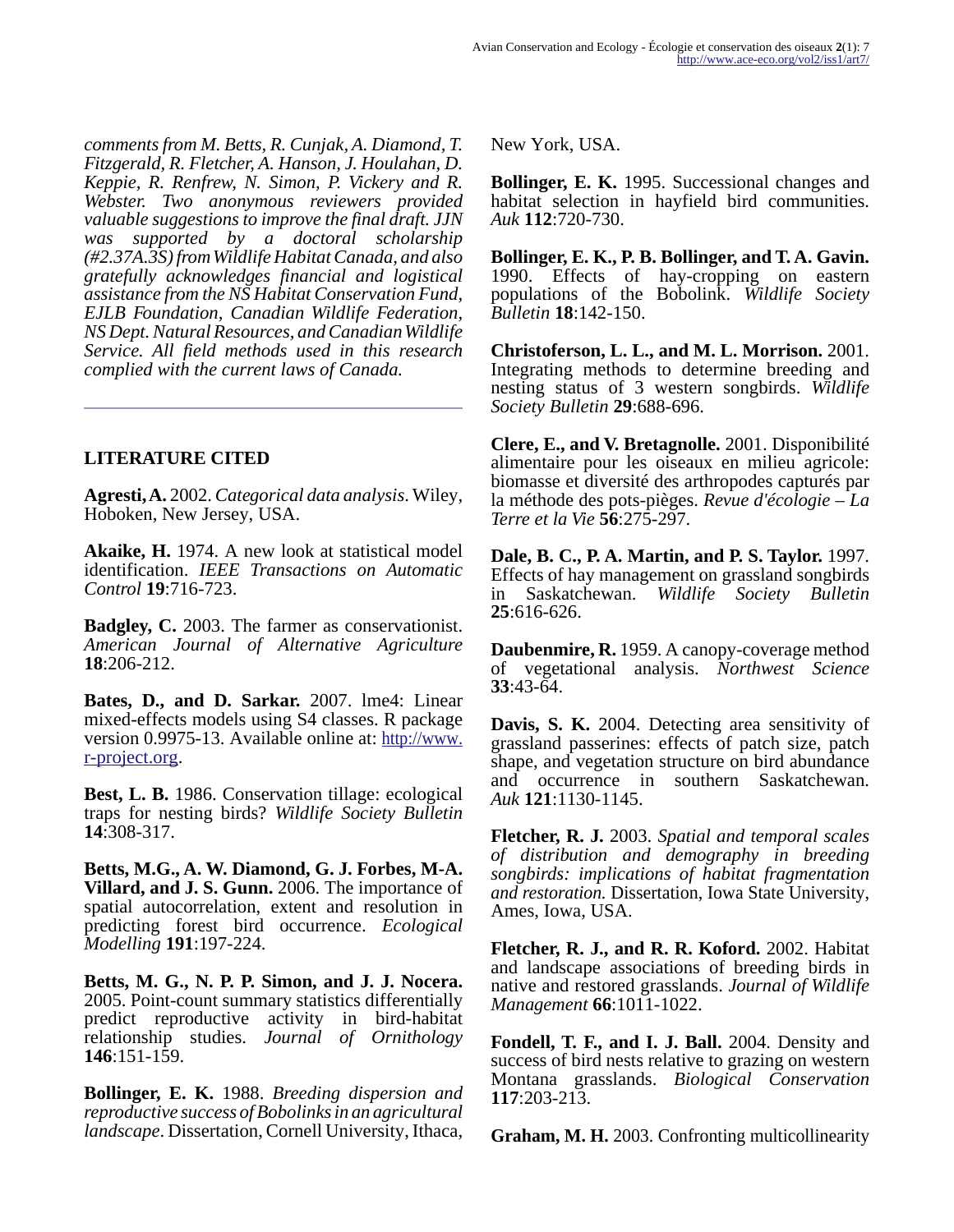*comments from M. Betts, R. Cunjak, A. Diamond, T. Fitzgerald, R. Fletcher, A. Hanson, J. Houlahan, D. Keppie, R. Renfrew, N. Simon, P. Vickery and R. Webster. Two anonymous reviewers provided valuable suggestions to improve the final draft. JJN was supported by a doctoral scholarship (#2.37A.3S) from Wildlife Habitat Canada, and also gratefully acknowledges financial and logistical assistance from the NS Habitat Conservation Fund, EJLB Foundation, Canadian Wildlife Federation, NS Dept. Natural Resources, and Canadian Wildlife Service. All field methods used in this research complied with the current laws of Canada.*

#### **LITERATURE CITED**

**Agresti, A.** 2002. *Categorical data analysis*. Wiley, Hoboken, New Jersey, USA.

**Akaike, H.** 1974. A new look at statistical model identification. *IEEE Transactions on Automatic Control* **19**:716-723.

**Badgley, C.** 2003. The farmer as conservationist. *American Journal of Alternative Agriculture* **18**:206-212.

**Bates, D., and D. Sarkar.** 2007. lme4: Linear mixed-effects models using S4 classes. R package version 0.9975-13. Available online at: [http://www.](http://www.r-project.org) [r-project.org](http://www.r-project.org).

**Best, L. B.** 1986. Conservation tillage: ecological traps for nesting birds? *Wildlife Society Bulletin* **14**:308-317.

**Betts, M.G., A. W. Diamond, G. J. Forbes, M-A. Villard, and J. S. Gunn.** 2006. The importance of spatial autocorrelation, extent and resolution in predicting forest bird occurrence. *Ecological Modelling* **191**:197-224.

**Betts, M. G., N. P. P. Simon, and J. J. Nocera.** 2005. Point-count summary statistics differentially predict reproductive activity in bird-habitat relationship studies. *Journal of Ornithology* **146**:151-159.

**Bollinger, E. K.** 1988. *Breeding dispersion and reproductive success of Bobolinks in an agricultural landscape*. Dissertation, Cornell University, Ithaca,

New York, USA.

**Bollinger, E. K.** 1995. Successional changes and habitat selection in hayfield bird communities. *Auk* **112**:720-730.

**Bollinger, E. K., P. B. Bollinger, and T. A. Gavin.** 1990. Effects of hay-cropping on eastern populations of the Bobolink. *Wildlife Society Bulletin* **18**:142-150.

**Christoferson, L. L., and M. L. Morrison.** 2001. Integrating methods to determine breeding and nesting status of 3 western songbirds. *Wildlife Society Bulletin* **29**:688-696.

**Clere, E., and V. Bretagnolle.** 2001. Disponibilité alimentaire pour les oiseaux en milieu agricole: biomasse et diversité des arthropodes capturés par la méthode des pots-pièges. *Revue d'écologie – La Terre et la Vie* **56**:275-297.

**Dale, B. C., P. A. Martin, and P. S. Taylor.** 1997. Effects of hay management on grassland songbirds in Saskatchewan. *Wildlife Society Bulletin* **25**:616-626.

**Daubenmire, R.** 1959. A canopy-coverage method of vegetational analysis. *Northwest Science* **33**:43-64.

**Davis, S. K.** 2004. Detecting area sensitivity of grassland passerines: effects of patch size, patch shape, and vegetation structure on bird abundance and occurrence in southern Saskatchewan. *Auk* **121**:1130-1145.

**Fletcher, R. J.** 2003. *Spatial and temporal scales of distribution and demography in breeding songbirds: implications of habitat fragmentation and restoration.* Dissertation, Iowa State University, Ames, Iowa, USA.

**Fletcher, R. J., and R. R. Koford.** 2002. Habitat and landscape associations of breeding birds in native and restored grasslands. *Journal of Wildlife Management* **66**:1011-1022.

**Fondell, T. F., and I. J. Ball.** 2004. Density and success of bird nests relative to grazing on western Montana grasslands. *Biological Conservation* **117**:203-213.

**Graham, M. H.** 2003. Confronting multicollinearity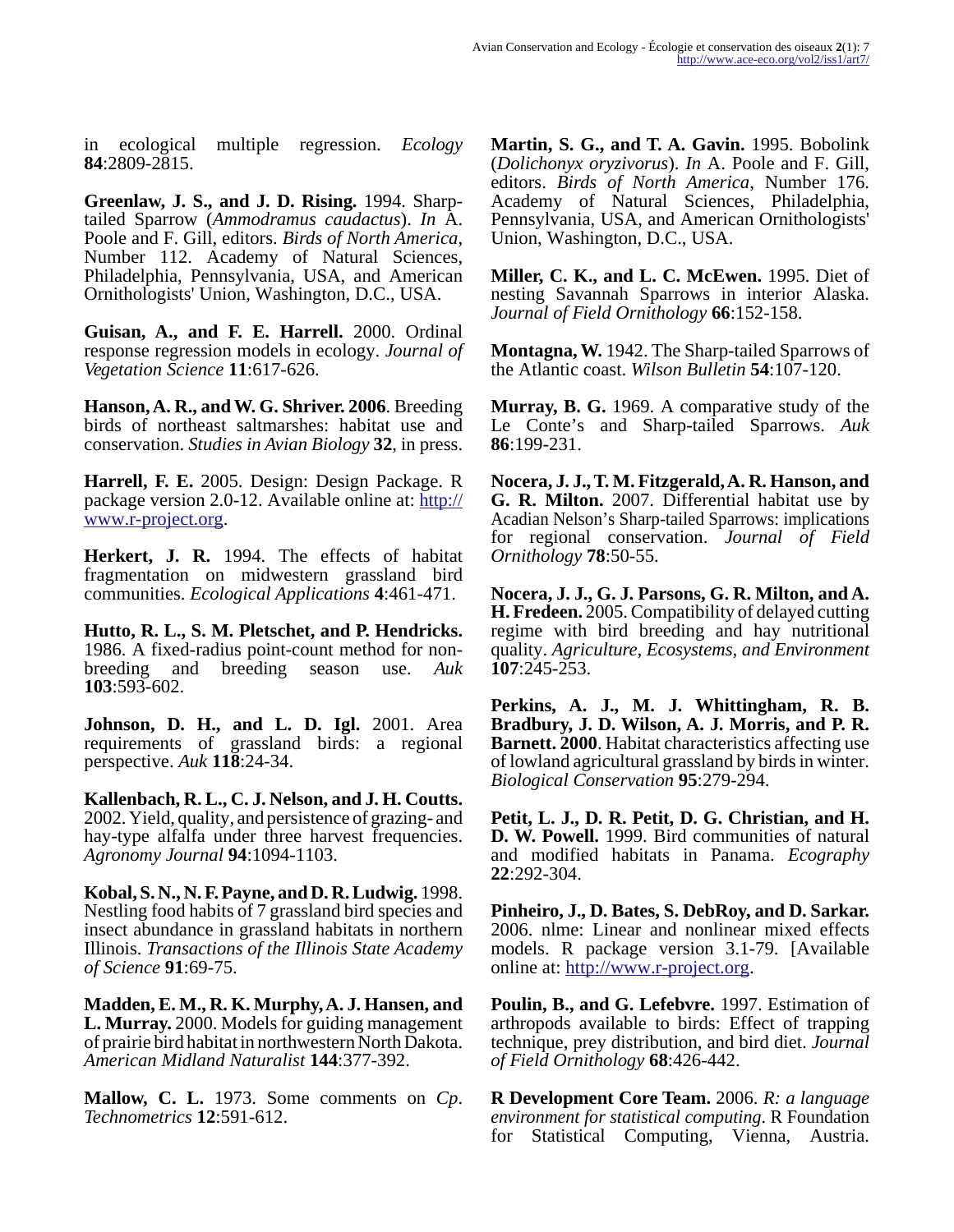in ecological multiple regression. *Ecology* **84**:2809-2815.

**Greenlaw, J. S., and J. D. Rising.** 1994. Sharptailed Sparrow (*Ammodramus caudactus*). *In* A. Poole and F. Gill, editors. *Birds of North America*, Number 112. Academy of Natural Sciences, Philadelphia, Pennsylvania, USA, and American Ornithologists' Union, Washington, D.C., USA.

**Guisan, A., and F. E. Harrell.** 2000. Ordinal response regression models in ecology. *Journal of Vegetation Science* **11**:617-626.

**Hanson, A. R., and W. G. Shriver. 2006**. Breeding birds of northeast saltmarshes: habitat use and conservation. *Studies in Avian Biology* **32**, in press.

**Harrell, F. E.** 2005. Design: Design Package. R package version 2.0-12. Available online at: [http://](http://www.r-project.org) [www.r-project.org](http://www.r-project.org).

**Herkert, J. R.** 1994. The effects of habitat fragmentation on midwestern grassland bird communities. *Ecological Applications* **4**:461-471.

**Hutto, R. L., S. M. Pletschet, and P. Hendricks.** 1986. A fixed-radius point-count method for nonbreeding and breeding season use. *Auk* **103**:593-602.

**Johnson, D. H., and L. D. Igl.** 2001. Area requirements of grassland birds: a regional perspective. *Auk* **118**:24-34.

**Kallenbach, R. L., C. J. Nelson, and J. H. Coutts.** 2002. Yield, quality, and persistence of grazing- and hay-type alfalfa under three harvest frequencies. *Agronomy Journal* **94**:1094-1103.

**Kobal, S. N., N. F. Payne, and D. R. Ludwig.** 1998. Nestling food habits of 7 grassland bird species and insect abundance in grassland habitats in northern Illinois. *Transactions of the Illinois State Academy of Science* **91**:69-75.

**Madden, E. M., R. K. Murphy, A. J. Hansen, and L. Murray.** 2000. Models for guiding management of prairie bird habitat in northwestern North Dakota. *American Midland Naturalist* **144**:377-392.

**Mallow, C. L.** 1973. Some comments on *Cp*. *Technometrics* **12**:591-612.

**Martin, S. G., and T. A. Gavin.** 1995. Bobolink (*Dolichonyx oryzivorus*). *In* A. Poole and F. Gill, editors. *Birds of North America*, Number 176. Academy of Natural Sciences, Philadelphia, Pennsylvania, USA, and American Ornithologists' Union, Washington, D.C., USA.

**Miller, C. K., and L. C. McEwen.** 1995. Diet of nesting Savannah Sparrows in interior Alaska. *Journal of Field Ornithology* **66**:152-158.

**Montagna, W.** 1942. The Sharp-tailed Sparrows of the Atlantic coast. *Wilson Bulletin* **54**:107-120.

**Murray, B. G.** 1969. A comparative study of the Le Conte's and Sharp-tailed Sparrows. *Auk* **86**:199-231.

**Nocera, J. J., T. M. Fitzgerald, A. R. Hanson, and G. R. Milton.** 2007. Differential habitat use by Acadian Nelson's Sharp-tailed Sparrows: implications for regional conservation. *Journal of Field Ornithology* **78**:50-55.

**Nocera, J. J., G. J. Parsons, G. R. Milton, and A. H. Fredeen.** 2005. Compatibility of delayed cutting regime with bird breeding and hay nutritional quality. *Agriculture, Ecosystems, and Environment* **107**:245-253.

**Perkins, A. J., M. J. Whittingham, R. B. Bradbury, J. D. Wilson, A. J. Morris, and P. R. Barnett. 2000**. Habitat characteristics affecting use of lowland agricultural grassland by birds in winter. *Biological Conservation* **95**:279-294.

**Petit, L. J., D. R. Petit, D. G. Christian, and H. D. W. Powell.** 1999. Bird communities of natural and modified habitats in Panama. *Ecography* **22**:292-304.

**Pinheiro, J., D. Bates, S. DebRoy, and D. Sarkar.** 2006. nlme: Linear and nonlinear mixed effects models. R package version 3.1-79. [Available online at: [http://www.r-project.org.](http://www.r-project.org)

**Poulin, B., and G. Lefebvre.** 1997. Estimation of arthropods available to birds: Effect of trapping technique, prey distribution, and bird diet. *Journal of Field Ornithology* **68**:426-442.

**R Development Core Team.** 2006. *R: a language environment for statistical computing*. R Foundation for Statistical Computing, Vienna, Austria.